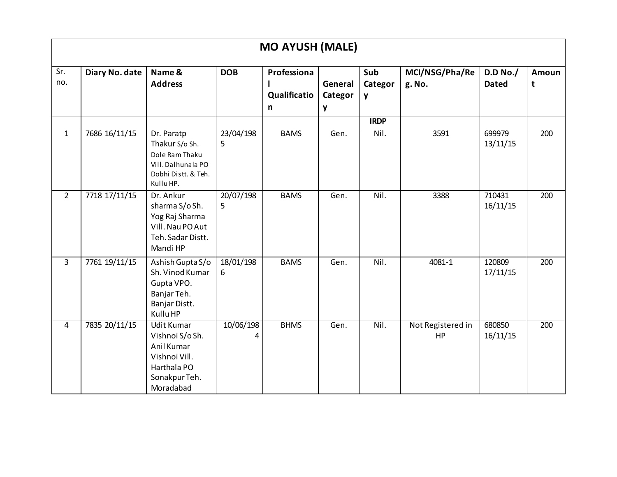| <b>MO AYUSH (MALE)</b> |                |                                                                                                                  |                 |                                             |                         |                     |                          |                          |            |  |  |  |
|------------------------|----------------|------------------------------------------------------------------------------------------------------------------|-----------------|---------------------------------------------|-------------------------|---------------------|--------------------------|--------------------------|------------|--|--|--|
| Sr.<br>no.             | Diary No. date | Name &<br><b>Address</b>                                                                                         | <b>DOB</b>      | Professiona<br>Qualificatio<br>$\mathsf{n}$ | General<br>Categor<br>y | Sub<br>Categor<br>y | MCI/NSG/Pha/Re<br>g. No. | D.D No./<br><b>Dated</b> | Amoun<br>t |  |  |  |
|                        |                |                                                                                                                  |                 |                                             |                         | <b>IRDP</b>         |                          |                          |            |  |  |  |
| $\mathbf{1}$           | 7686 16/11/15  | Dr. Paratp<br>Thakur S/o Sh.<br>Dole Ram Thaku<br>Vill. Dalhunala PO<br>Dobhi Distt. & Teh.<br>Kullu HP.         | 23/04/198<br>5. | <b>BAMS</b>                                 | Gen.                    | Nil.                | 3591                     | 699979<br>13/11/15       | 200        |  |  |  |
| $2^{\circ}$            | 7718 17/11/15  | Dr. Ankur<br>sharma S/o Sh.<br>Yog Raj Sharma<br>Vill. Nau PO Aut<br>Teh. Sadar Distt.<br>Mandi HP               | 20/07/198<br>5  | <b>BAMS</b>                                 | Gen.                    | Nil.                | 3388                     | 710431<br>16/11/15       | 200        |  |  |  |
| $\overline{3}$         | 7761 19/11/15  | Ashish Gupta S/o<br>Sh. Vinod Kumar<br>Gupta VPO.<br>Banjar Teh.<br>Banjar Distt.<br>Kullu HP                    | 18/01/198<br>6  | <b>BAMS</b>                                 | Gen.                    | Nil.                | 4081-1                   | 120809<br>17/11/15       | 200        |  |  |  |
| 4                      | 7835 20/11/15  | <b>Udit Kumar</b><br>Vishnoi S/o Sh.<br>Anil Kumar<br>Vishnoi Vill.<br>Harthala PO<br>Sonakpur Teh.<br>Moradabad | 10/06/198<br>4  | <b>BHMS</b>                                 | Gen.                    | Nil.                | Not Registered in<br>HP  | 680850<br>16/11/15       | 200        |  |  |  |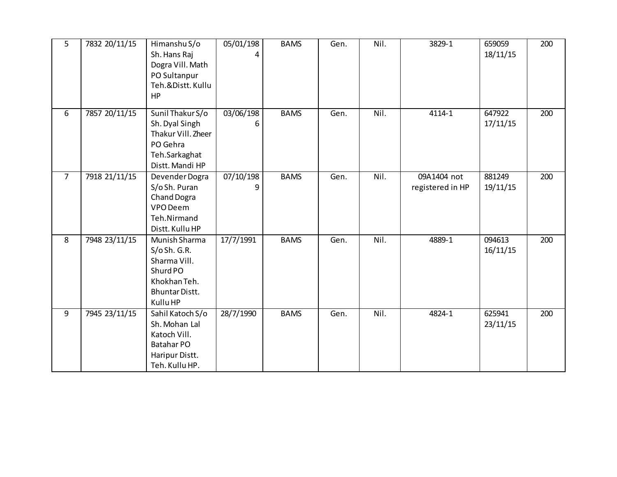| 5              | 7832 20/11/15 | Himanshu S/o          | 05/01/198 | <b>BAMS</b> | Gen. | Nil. | 3829-1           | 659059   | 200 |
|----------------|---------------|-----------------------|-----------|-------------|------|------|------------------|----------|-----|
|                |               | Sh. Hans Raj          | 4         |             |      |      |                  | 18/11/15 |     |
|                |               | Dogra Vill. Math      |           |             |      |      |                  |          |     |
|                |               | PO Sultanpur          |           |             |      |      |                  |          |     |
|                |               | Teh.&Distt. Kullu     |           |             |      |      |                  |          |     |
|                |               | HP                    |           |             |      |      |                  |          |     |
| 6              | 7857 20/11/15 | Sunil Thakur S/o      | 03/06/198 | <b>BAMS</b> | Gen. | Nil. | 4114-1           | 647922   | 200 |
|                |               | Sh. Dyal Singh        | 6         |             |      |      |                  | 17/11/15 |     |
|                |               | Thakur Vill. Zheer    |           |             |      |      |                  |          |     |
|                |               | PO Gehra              |           |             |      |      |                  |          |     |
|                |               | Teh.Sarkaghat         |           |             |      |      |                  |          |     |
|                |               | Distt. Mandi HP       |           |             |      |      |                  |          |     |
| $\overline{7}$ | 7918 21/11/15 | Devender Dogra        | 07/10/198 | <b>BAMS</b> | Gen. | Nil. | 09A1404 not      | 881249   | 200 |
|                |               | S/o Sh. Puran         | 9         |             |      |      | registered in HP | 19/11/15 |     |
|                |               | Chand Dogra           |           |             |      |      |                  |          |     |
|                |               | VPO Deem              |           |             |      |      |                  |          |     |
|                |               | Teh.Nirmand           |           |             |      |      |                  |          |     |
|                |               | Distt. Kullu HP       |           |             |      |      |                  |          |     |
| 8              | 7948 23/11/15 | Munish Sharma         | 17/7/1991 | <b>BAMS</b> | Gen. | Nil. | 4889-1           | 094613   | 200 |
|                |               | S/OSh. G.R.           |           |             |      |      |                  | 16/11/15 |     |
|                |               | Sharma Vill.          |           |             |      |      |                  |          |     |
|                |               | Shurd PO              |           |             |      |      |                  |          |     |
|                |               | Khokhan Teh.          |           |             |      |      |                  |          |     |
|                |               | <b>Bhuntar Distt.</b> |           |             |      |      |                  |          |     |
|                |               | Kullu HP              |           |             |      |      |                  |          |     |
| 9              | 7945 23/11/15 | Sahil Katoch S/o      | 28/7/1990 | <b>BAMS</b> | Gen. | Nil. | 4824-1           | 625941   | 200 |
|                |               | Sh. Mohan Lal         |           |             |      |      |                  | 23/11/15 |     |
|                |               | Katoch Vill.          |           |             |      |      |                  |          |     |
|                |               | <b>Batahar PO</b>     |           |             |      |      |                  |          |     |
|                |               | Haripur Distt.        |           |             |      |      |                  |          |     |
|                |               | Teh. Kullu HP.        |           |             |      |      |                  |          |     |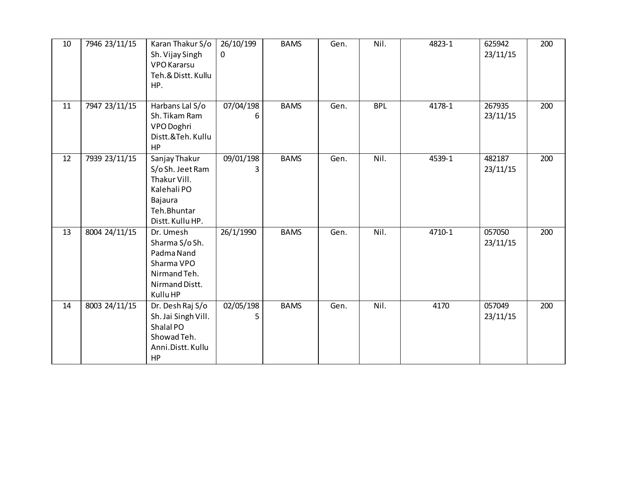| 10 | 7946 23/11/15 | Karan Thakur S/o<br>Sh. Vijay Singh<br><b>VPO</b> Kararsu<br>Teh.& Distt. Kullu<br>HP.                         | 26/10/199<br>$\mathbf 0$ | <b>BAMS</b> | Gen. | Nil.       | 4823-1 | 625942<br>23/11/15 | 200 |
|----|---------------|----------------------------------------------------------------------------------------------------------------|--------------------------|-------------|------|------------|--------|--------------------|-----|
| 11 | 7947 23/11/15 | Harbans Lal S/o<br>Sh. Tikam Ram<br>VPO Doghri<br>Distt.&Teh. Kullu<br>HP                                      | 07/04/198<br>6           | <b>BAMS</b> | Gen. | <b>BPL</b> | 4178-1 | 267935<br>23/11/15 | 200 |
| 12 | 7939 23/11/15 | Sanjay Thakur<br>S/o Sh. Jeet Ram<br>Thakur Vill.<br>Kalehali PO<br>Bajaura<br>Teh.Bhuntar<br>Distt. Kullu HP. | 09/01/198<br>3           | <b>BAMS</b> | Gen. | Nil.       | 4539-1 | 482187<br>23/11/15 | 200 |
| 13 | 8004 24/11/15 | Dr. Umesh<br>Sharma S/o Sh.<br>Padma Nand<br>Sharma VPO<br>Nirmand Teh.<br>Nirmand Distt.<br>Kullu HP          | 26/1/1990                | <b>BAMS</b> | Gen. | Nil.       | 4710-1 | 057050<br>23/11/15 | 200 |
| 14 | 8003 24/11/15 | Dr. Desh Raj S/o<br>Sh. Jai Singh Vill.<br>Shalal PO<br>Showad Teh.<br>Anni.Distt. Kullu<br>HP                 | 02/05/198<br>5           | <b>BAMS</b> | Gen. | Nil.       | 4170   | 057049<br>23/11/15 | 200 |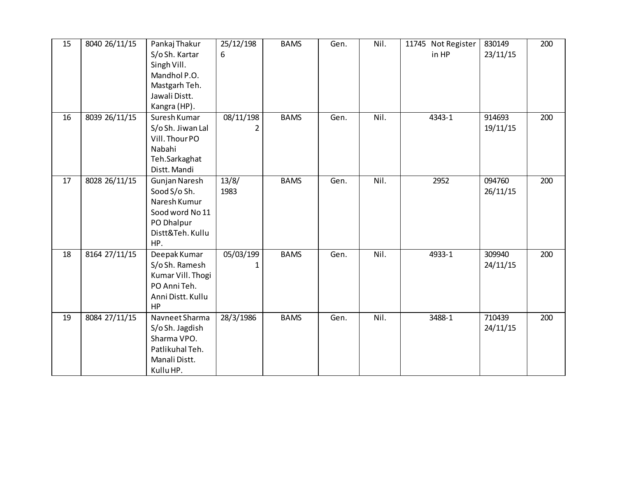| 15 | 8040 26/11/15 | Pankaj Thakur     | 25/12/198 | <b>BAMS</b> | Gen. | Nil. | 11745 Not Register | 830149   | 200 |
|----|---------------|-------------------|-----------|-------------|------|------|--------------------|----------|-----|
|    |               | S/o Sh. Kartar    | 6         |             |      |      | in HP              | 23/11/15 |     |
|    |               | Singh Vill.       |           |             |      |      |                    |          |     |
|    |               | Mandhol P.O.      |           |             |      |      |                    |          |     |
|    |               | Mastgarh Teh.     |           |             |      |      |                    |          |     |
|    |               | Jawali Distt.     |           |             |      |      |                    |          |     |
|    |               | Kangra (HP).      |           |             |      |      |                    |          |     |
| 16 | 8039 26/11/15 | Suresh Kumar      | 08/11/198 | <b>BAMS</b> | Gen. | Nil. | 4343-1             | 914693   | 200 |
|    |               | S/o Sh. Jiwan Lal | 2         |             |      |      |                    | 19/11/15 |     |
|    |               | Vill. Thour PO    |           |             |      |      |                    |          |     |
|    |               | Nabahi            |           |             |      |      |                    |          |     |
|    |               | Teh.Sarkaghat     |           |             |      |      |                    |          |     |
|    |               | Distt. Mandi      |           |             |      |      |                    |          |     |
| 17 | 8028 26/11/15 | Gunjan Naresh     | 13/8/     | <b>BAMS</b> | Gen. | Nil. | 2952               | 094760   | 200 |
|    |               | Sood S/o Sh.      | 1983      |             |      |      |                    | 26/11/15 |     |
|    |               | Naresh Kumur      |           |             |      |      |                    |          |     |
|    |               | Sood word No 11   |           |             |      |      |                    |          |     |
|    |               | PO Dhalpur        |           |             |      |      |                    |          |     |
|    |               | Distt&Teh. Kullu  |           |             |      |      |                    |          |     |
|    |               | HP.               |           |             |      |      |                    |          |     |
| 18 | 8164 27/11/15 | Deepak Kumar      | 05/03/199 | <b>BAMS</b> | Gen. | Nil. | 4933-1             | 309940   | 200 |
|    |               | S/o Sh. Ramesh    | 1         |             |      |      |                    | 24/11/15 |     |
|    |               | Kumar Vill. Thogi |           |             |      |      |                    |          |     |
|    |               | PO Anni Teh.      |           |             |      |      |                    |          |     |
|    |               | Anni Distt. Kullu |           |             |      |      |                    |          |     |
|    |               | HP                |           |             |      |      |                    |          |     |
| 19 | 8084 27/11/15 | Navneet Sharma    | 28/3/1986 | <b>BAMS</b> | Gen. | Nil. | 3488-1             | 710439   | 200 |
|    |               | S/o Sh. Jagdish   |           |             |      |      |                    | 24/11/15 |     |
|    |               | Sharma VPO.       |           |             |      |      |                    |          |     |
|    |               | Patlikuhal Teh.   |           |             |      |      |                    |          |     |
|    |               | Manali Distt.     |           |             |      |      |                    |          |     |
|    |               | Kullu HP.         |           |             |      |      |                    |          |     |
|    |               |                   |           |             |      |      |                    |          |     |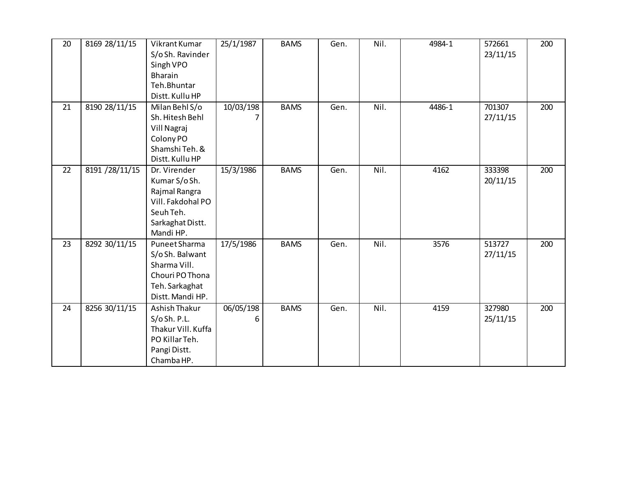| 20 | 8169 28/11/15  | Vikrant Kumar<br>S/oSh. Ravinder<br>Singh VPO<br><b>Bharain</b><br>Teh.Bhuntar<br>Distt. Kullu HP                 | 25/1/1987      | <b>BAMS</b> | Gen. | Nil. | 4984-1 | 572661<br>23/11/15 | 200 |
|----|----------------|-------------------------------------------------------------------------------------------------------------------|----------------|-------------|------|------|--------|--------------------|-----|
| 21 | 8190 28/11/15  | Milan Behl S/o<br>Sh. Hitesh Behl<br>Vill Nagraj<br>Colony PO<br>Shamshi Teh. &<br>Distt. Kullu HP                | 10/03/198<br>7 | <b>BAMS</b> | Gen. | Nil. | 4486-1 | 701307<br>27/11/15 | 200 |
| 22 | 8191 /28/11/15 | Dr. Virender<br>Kumar S/o Sh.<br>Rajmal Rangra<br>Vill. Fakdohal PO<br>Seuh Teh.<br>Sarkaghat Distt.<br>Mandi HP. | 15/3/1986      | <b>BAMS</b> | Gen. | Nil. | 4162   | 333398<br>20/11/15 | 200 |
| 23 | 8292 30/11/15  | Puneet Sharma<br>S/o Sh. Balwant<br>Sharma Vill.<br>Chouri PO Thona<br>Teh. Sarkaghat<br>Distt. Mandi HP.         | 17/5/1986      | <b>BAMS</b> | Gen. | Nil. | 3576   | 513727<br>27/11/15 | 200 |
| 24 | 8256 30/11/15  | Ashish Thakur<br>S/OSh. P.L.<br>Thakur Vill. Kuffa<br>PO Killar Teh.<br>Pangi Distt.<br>Chamba HP.                | 06/05/198<br>6 | <b>BAMS</b> | Gen. | Nil. | 4159   | 327980<br>25/11/15 | 200 |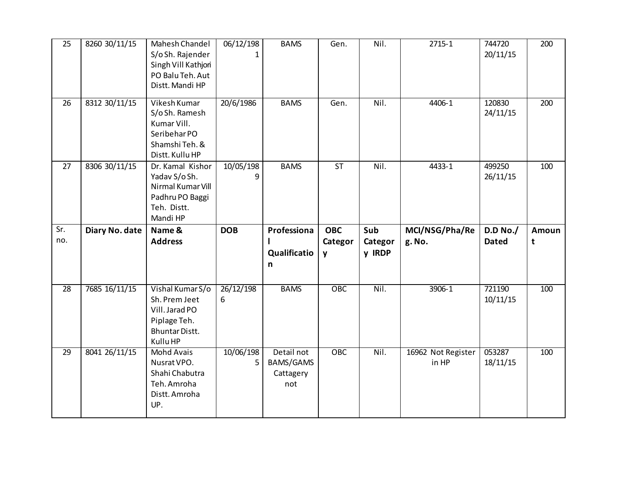| 25                    | 8260 30/11/15                  | Mahesh Chandel<br>S/oSh. Rajender<br>Singh Vill Kathjori<br>PO Balu Teh. Aut<br>Distt. Mandi HP                               | 06/12/198                   | <b>BAMS</b>                                      | Gen.                                  | Nil.                     | 2715-1                       | 744720<br>20/11/15           | 200        |
|-----------------------|--------------------------------|-------------------------------------------------------------------------------------------------------------------------------|-----------------------------|--------------------------------------------------|---------------------------------------|--------------------------|------------------------------|------------------------------|------------|
| 26                    | 8312 30/11/15                  | Vikesh Kumar<br>S/oSh. Ramesh<br>Kumar Vill.<br>Seribehar PO<br>Shamshi Teh. &<br>Distt. Kullu HP                             | 20/6/1986                   | <b>BAMS</b>                                      | Gen.                                  | Nil.                     | 4406-1                       | 120830<br>24/11/15           | 200        |
| 27                    | 8306 30/11/15                  | Dr. Kamal Kishor<br>Yadav S/o Sh.<br>Nirmal Kumar Vill<br>Padhru PO Baggi<br>Teh. Distt.<br>Mandi HP                          | 10/05/198<br>q              | <b>BAMS</b>                                      | <b>ST</b>                             | Nil.                     | 4433-1                       | 499250<br>26/11/15           | 100        |
|                       |                                |                                                                                                                               |                             |                                                  |                                       |                          |                              |                              |            |
| Sr.<br>no.            | Diary No. date                 | Name &<br><b>Address</b>                                                                                                      | <b>DOB</b>                  | Professiona<br>ı<br>Qualificatio<br>$\mathsf{n}$ | <b>OBC</b><br>Categor<br>$\mathbf{y}$ | Sub<br>Categor<br>y IRDP | MCI/NSG/Pha/Re<br>g. No.     | D.D No./<br><b>Dated</b>     | Amoun<br>t |
| $\overline{28}$<br>29 | 7685 16/11/15<br>8041 26/11/15 | Vishal Kumar S/o<br>Sh. Prem Jeet<br>Vill. Jarad PO<br>Piplage Teh.<br><b>Bhuntar Distt.</b><br>Kullu HP<br><b>Mohd Avais</b> | 26/12/198<br>6<br>10/06/198 | <b>BAMS</b><br>Detail not                        | OBC<br><b>OBC</b>                     | Nil.<br>Nil.             | 3906-1<br>16962 Not Register | 721190<br>10/11/15<br>053287 | 100<br>100 |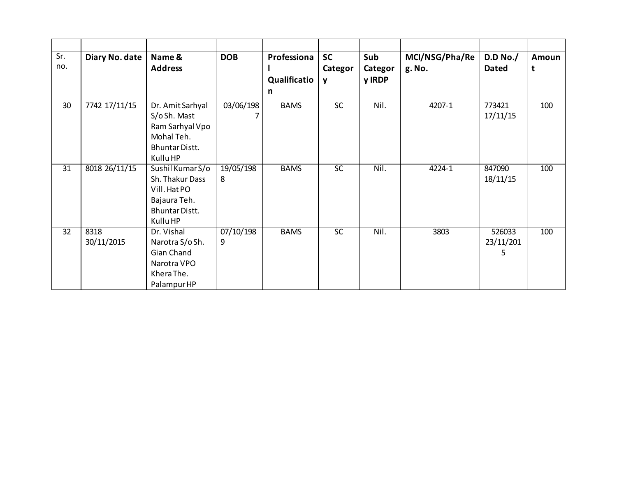| Sr.<br>no. | Diary No. date     | Name &<br><b>Address</b>                                                                               | <b>DOB</b>     | Professiona<br>Qualificatio<br>$\mathsf{n}$ | <b>SC</b><br>Categor<br>y | Sub<br>Categor<br>y IRDP | MCI/NSG/Pha/Re<br>g. No. | D.D No./<br><b>Dated</b> | Amoun<br>t |
|------------|--------------------|--------------------------------------------------------------------------------------------------------|----------------|---------------------------------------------|---------------------------|--------------------------|--------------------------|--------------------------|------------|
| 30         | 7742 17/11/15      | Dr. Amit Sarhyal<br>S/o Sh. Mast<br>Ram Sarhyal Vpo<br>Mohal Teh.<br><b>Bhuntar Distt.</b><br>Kullu HP | 03/06/198      | <b>BAMS</b>                                 | $\overline{SC}$           | Nil.                     | $4207 - 1$               | 773421<br>17/11/15       | 100        |
| 31         | 8018 26/11/15      | Sushil Kumar S/o<br>Sh. Thakur Dass<br>Vill. Hat PO<br>Bajaura Teh.<br>Bhuntar Distt.<br>Kullu HP      | 19/05/198<br>8 | <b>BAMS</b>                                 | SC                        | Nil.                     | 4224-1                   | 847090<br>18/11/15       | 100        |
| 32         | 8318<br>30/11/2015 | Dr. Vishal<br>Narotra S/o Sh.<br>Gian Chand<br>Narotra VPO<br>Khera The.<br>Palampur HP                | 07/10/198<br>9 | <b>BAMS</b>                                 | <b>SC</b>                 | Nil.                     | 3803                     | 526033<br>23/11/201<br>5 | 100        |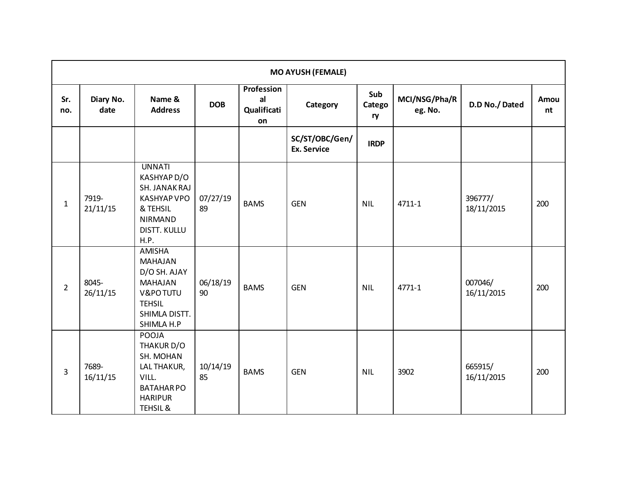|                | <b>MO AYUSH (FEMALE)</b> |                                                                                                                                  |                |                                              |                                      |                     |                          |                       |            |  |  |  |
|----------------|--------------------------|----------------------------------------------------------------------------------------------------------------------------------|----------------|----------------------------------------------|--------------------------------------|---------------------|--------------------------|-----------------------|------------|--|--|--|
| Sr.<br>no.     | Diary No.<br>date        | Name &<br><b>Address</b>                                                                                                         | <b>DOB</b>     | <b>Profession</b><br>al<br>Qualificati<br>on | Category                             | Sub<br>Catego<br>ry | MCI/NSG/Pha/R<br>eg. No. | D.D No./Dated         | Amou<br>nt |  |  |  |
|                |                          |                                                                                                                                  |                |                                              | SC/ST/OBC/Gen/<br><b>Ex. Service</b> | <b>IRDP</b>         |                          |                       |            |  |  |  |
| $\mathbf{1}$   | 7919-<br>21/11/15        | <b>UNNATI</b><br>KASHYAP D/O<br>SH. JANAK RAJ<br><b>KASHYAP VPO</b><br>& TEHSIL<br><b>NIRMAND</b><br><b>DISTT. KULLU</b><br>H.P. | 07/27/19<br>89 | <b>BAMS</b>                                  | <b>GEN</b>                           | <b>NIL</b>          | 4711-1                   | 396777/<br>18/11/2015 | 200        |  |  |  |
| $\overline{2}$ | 8045-<br>26/11/15        | AMISHA<br><b>MAHAJAN</b><br>D/O SH. AJAY<br><b>MAHAJAN</b><br>V&PO TUTU<br><b>TEHSIL</b><br>SHIMLA DISTT.<br>SHIMLA H.P          | 06/18/19<br>90 | <b>BAMS</b>                                  | <b>GEN</b>                           | <b>NIL</b>          | 4771-1                   | 007046/<br>16/11/2015 | 200        |  |  |  |
| 3              | 7689-<br>16/11/15        | POOJA<br>THAKUR D/O<br>SH. MOHAN<br>LAL THAKUR,<br>VILL.<br><b>BATAHARPO</b><br><b>HARIPUR</b><br>TEHSIL &                       | 10/14/19<br>85 | <b>BAMS</b>                                  | <b>GEN</b>                           | <b>NIL</b>          | 3902                     | 665915/<br>16/11/2015 | 200        |  |  |  |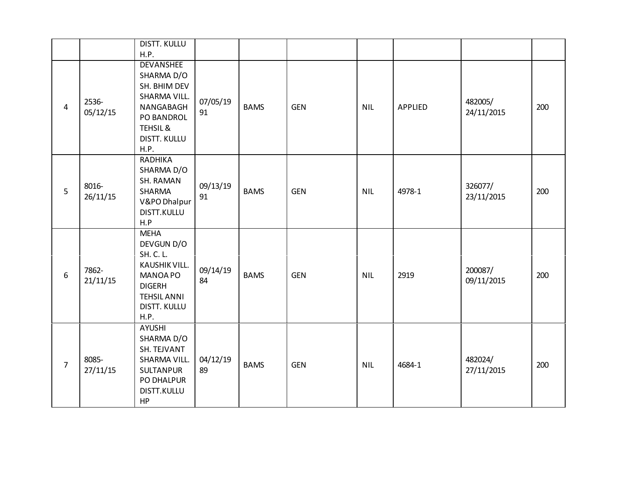|                |                   | <b>DISTT. KULLU</b><br>H.P.                                                                                                        |                |             |            |            |                |                       |     |
|----------------|-------------------|------------------------------------------------------------------------------------------------------------------------------------|----------------|-------------|------------|------------|----------------|-----------------------|-----|
| $\overline{4}$ | 2536-<br>05/12/15 | <b>DEVANSHEE</b><br>SHARMA D/O<br>SH. BHIM DEV<br>SHARMA VILL.<br>NANGABAGH<br>PO BANDROL<br>TEHSIL &<br>DISTT. KULLU<br>H.P.      | 07/05/19<br>91 | <b>BAMS</b> | <b>GEN</b> | <b>NIL</b> | <b>APPLIED</b> | 482005/<br>24/11/2015 | 200 |
| 5              | 8016-<br>26/11/15 | <b>RADHIKA</b><br>SHARMA D/O<br>SH. RAMAN<br>SHARMA<br>V&PO Dhalpur<br>DISTT.KULLU<br>H.P                                          | 09/13/19<br>91 | <b>BAMS</b> | <b>GEN</b> | <b>NIL</b> | 4978-1         | 326077/<br>23/11/2015 | 200 |
| 6              | 7862-<br>21/11/15 | <b>MEHA</b><br>DEVGUN D/O<br>SH. C. L.<br>KAUSHIK VILL.<br>MANOA PO<br><b>DIGERH</b><br><b>TEHSIL ANNI</b><br>DISTT. KULLU<br>H.P. | 09/14/19<br>84 | <b>BAMS</b> | <b>GEN</b> | <b>NIL</b> | 2919           | 200087/<br>09/11/2015 | 200 |
| $\overline{7}$ | 8085-<br>27/11/15 | <b>AYUSHI</b><br>SHARMA D/O<br>SH. TEJVANT<br>SHARMA VILL.<br><b>SULTANPUR</b><br>PO DHALPUR<br>DISTT.KULLU<br>HP                  | 04/12/19<br>89 | <b>BAMS</b> | <b>GEN</b> | <b>NIL</b> | 4684-1         | 482024/<br>27/11/2015 | 200 |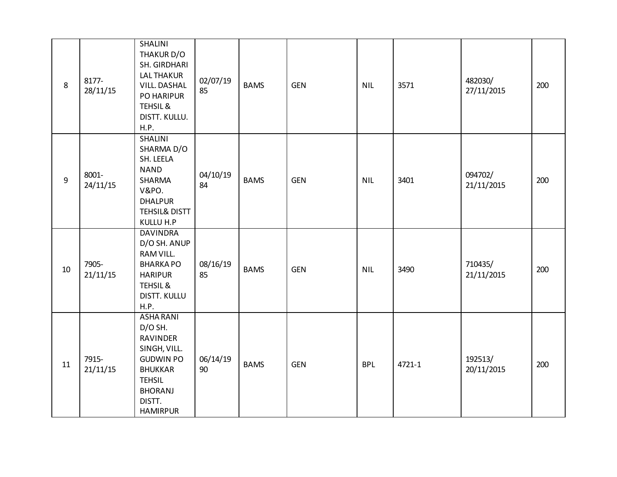| 8              | 8177-<br>28/11/15 | <b>SHALINI</b><br>THAKUR D/O<br>SH. GIRDHARI<br><b>LAL THAKUR</b><br><b>VILL. DASHAL</b><br>PO HARIPUR<br>TEHSIL &<br>DISTT. KULLU.<br>H.P.                   | 02/07/19<br>85 | <b>BAMS</b> | <b>GEN</b> | <b>NIL</b> | 3571   | 482030/<br>27/11/2015 | 200 |
|----------------|-------------------|---------------------------------------------------------------------------------------------------------------------------------------------------------------|----------------|-------------|------------|------------|--------|-----------------------|-----|
| $\overline{9}$ | 8001-<br>24/11/15 | SHALINI<br>SHARMA D/O<br>SH. LEELA<br><b>NAND</b><br>SHARMA<br>V&PO.<br><b>DHALPUR</b><br>TEHSIL& DISTT<br>KULLU H.P                                          | 04/10/19<br>84 | <b>BAMS</b> | <b>GEN</b> | <b>NIL</b> | 3401   | 094702/<br>21/11/2015 | 200 |
| 10             | 7905-<br>21/11/15 | <b>DAVINDRA</b><br>D/O SH. ANUP<br>RAM VILL.<br><b>BHARKAPO</b><br><b>HARIPUR</b><br>TEHSIL &<br>DISTT. KULLU<br>H.P.                                         | 08/16/19<br>85 | <b>BAMS</b> | <b>GEN</b> | <b>NIL</b> | 3490   | 710435/<br>21/11/2015 | 200 |
| 11             | 7915-<br>21/11/15 | <b>ASHA RANI</b><br>D/O SH.<br>RAVINDER<br>SINGH, VILL.<br><b>GUDWIN PO</b><br><b>BHUKKAR</b><br><b>TEHSIL</b><br><b>BHORANJ</b><br>DISTT.<br><b>HAMIRPUR</b> | 06/14/19<br>90 | <b>BAMS</b> | <b>GEN</b> | <b>BPL</b> | 4721-1 | 192513/<br>20/11/2015 | 200 |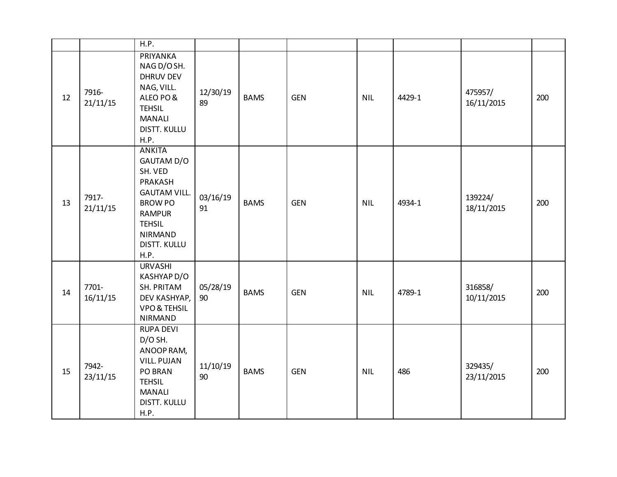|    |                   | H.P.                                                                                                                                                                   |                |             |            |            |        |                       |     |
|----|-------------------|------------------------------------------------------------------------------------------------------------------------------------------------------------------------|----------------|-------------|------------|------------|--------|-----------------------|-----|
| 12 | 7916-<br>21/11/15 | PRIYANKA<br>NAG D/O SH.<br><b>DHRUV DEV</b><br>NAG, VILL.<br>ALEO PO&<br><b>TEHSIL</b><br><b>MANALI</b><br><b>DISTT. KULLU</b><br>H.P.                                 | 12/30/19<br>89 | <b>BAMS</b> | <b>GEN</b> | <b>NIL</b> | 4429-1 | 475957/<br>16/11/2015 | 200 |
| 13 | 7917-<br>21/11/15 | <b>ANKITA</b><br>GAUTAM D/O<br>SH. VED<br>PRAKASH<br><b>GAUTAM VILL.</b><br><b>BROW PO</b><br><b>RAMPUR</b><br><b>TEHSIL</b><br><b>NIRMAND</b><br>DISTT. KULLU<br>H.P. | 03/16/19<br>91 | <b>BAMS</b> | <b>GEN</b> | <b>NIL</b> | 4934-1 | 139224/<br>18/11/2015 | 200 |
| 14 | 7701-<br>16/11/15 | <b>URVASHI</b><br>KASHYAP D/O<br>SH. PRITAM<br>DEV KASHYAP,<br><b>VPO &amp; TEHSIL</b><br><b>NIRMAND</b>                                                               | 05/28/19<br>90 | <b>BAMS</b> | <b>GEN</b> | <b>NIL</b> | 4789-1 | 316858/<br>10/11/2015 | 200 |
| 15 | 7942-<br>23/11/15 | <b>RUPA DEVI</b><br>D/O SH.<br>ANOOP RAM,<br><b>VILL. PUJAN</b><br>PO BRAN<br><b>TEHSIL</b><br><b>MANALI</b><br>DISTT. KULLU<br>H.P.                                   | 11/10/19<br>90 | <b>BAMS</b> | <b>GEN</b> | <b>NIL</b> | 486    | 329435/<br>23/11/2015 | 200 |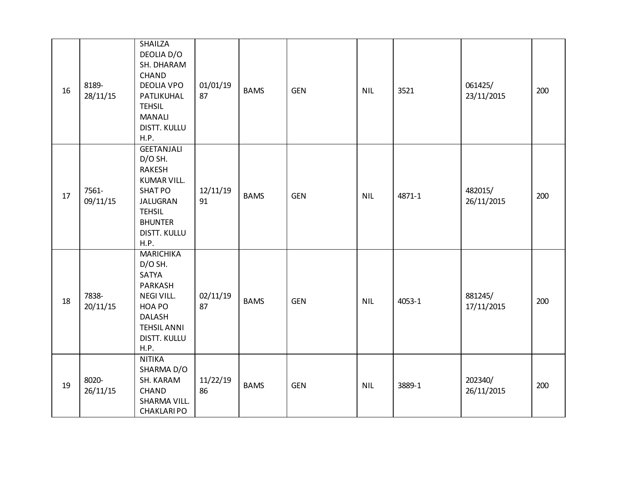| 16 | 8189-<br>28/11/15 | SHAILZA<br>DEOLIA D/O<br>SH. DHARAM<br><b>CHAND</b><br><b>DEOLIA VPO</b><br>PATLIKUHAL<br><b>TEHSIL</b><br><b>MANALI</b><br><b>DISTT. KULLU</b><br>H.P.                    | 01/01/19<br>87 | <b>BAMS</b> | <b>GEN</b> | <b>NIL</b> | 3521   | 061425/<br>23/11/2015 | 200 |
|----|-------------------|----------------------------------------------------------------------------------------------------------------------------------------------------------------------------|----------------|-------------|------------|------------|--------|-----------------------|-----|
| 17 | 7561-<br>09/11/15 | <b>GEETANJALI</b><br>D/O SH.<br><b>RAKESH</b><br><b>KUMAR VILL.</b><br><b>SHAT PO</b><br><b>JALUGRAN</b><br><b>TEHSIL</b><br><b>BHUNTER</b><br><b>DISTT. KULLU</b><br>H.P. | 12/11/19<br>91 | <b>BAMS</b> | <b>GEN</b> | <b>NIL</b> | 4871-1 | 482015/<br>26/11/2015 | 200 |
| 18 | 7838-<br>20/11/15 | <b>MARICHIKA</b><br>$D/O$ SH.<br>SATYA<br>PARKASH<br><b>NEGI VILL.</b><br>HOA PO<br><b>DALASH</b><br><b>TEHSIL ANNI</b><br><b>DISTT. KULLU</b><br>H.P.                     | 02/11/19<br>87 | <b>BAMS</b> | <b>GEN</b> | <b>NIL</b> | 4053-1 | 881245/<br>17/11/2015 | 200 |
| 19 | 8020-<br>26/11/15 | <b>NITIKA</b><br>SHARMA D/O<br>SH. KARAM<br>CHAND<br>SHARMA VILL.<br><b>CHAKLARIPO</b>                                                                                     | 11/22/19<br>86 | <b>BAMS</b> | <b>GEN</b> | <b>NIL</b> | 3889-1 | 202340/<br>26/11/2015 | 200 |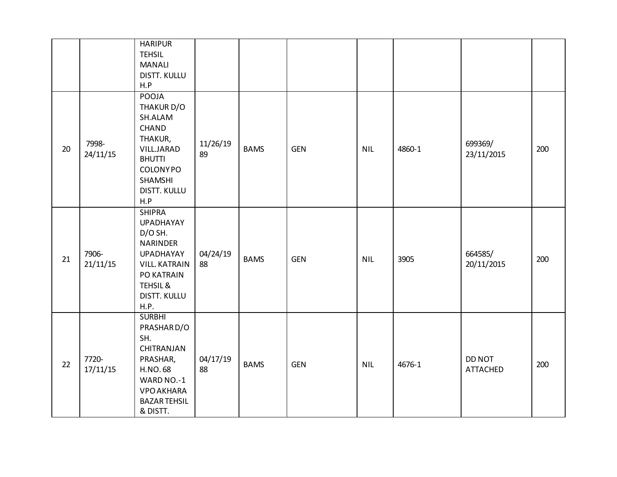|    |                   | <b>HARIPUR</b><br><b>TEHSIL</b><br><b>MANALI</b><br><b>DISTT. KULLU</b><br>H.P                                                                                                    |                |             |            |            |        |                           |     |
|----|-------------------|-----------------------------------------------------------------------------------------------------------------------------------------------------------------------------------|----------------|-------------|------------|------------|--------|---------------------------|-----|
| 20 | 7998-<br>24/11/15 | POOJA<br>THAKUR D/O<br>SH.ALAM<br>CHAND<br>THAKUR,<br>VILL.JARAD<br><b>BHUTTI</b><br><b>COLONYPO</b><br>SHAMSHI<br><b>DISTT. KULLU</b><br>H.P                                     | 11/26/19<br>89 | <b>BAMS</b> | <b>GEN</b> | <b>NIL</b> | 4860-1 | 699369/<br>23/11/2015     | 200 |
| 21 | 7906-<br>21/11/15 | <b>SHIPRA</b><br><b>UPADHAYAY</b><br>$D/O$ SH.<br><b>NARINDER</b><br><b>UPADHAYAY</b><br><b>VILL. KATRAIN</b><br>PO KATRAIN<br><b>TEHSIL &amp;</b><br><b>DISTT. KULLU</b><br>H.P. | 04/24/19<br>88 | <b>BAMS</b> | <b>GEN</b> | <b>NIL</b> | 3905   | 664585/<br>20/11/2015     | 200 |
| 22 | 7720-<br>17/11/15 | <b>SURBHI</b><br>PRASHAR D/O<br>SH.<br>CHITRANJAN<br>PRASHAR,<br><b>H.NO.68</b><br>WARD NO.-1<br><b>VPO AKHARA</b><br><b>BAZAR TEHSIL</b><br>& DISTT.                             | 04/17/19<br>88 | <b>BAMS</b> | <b>GEN</b> | <b>NIL</b> | 4676-1 | DD NOT<br><b>ATTACHED</b> | 200 |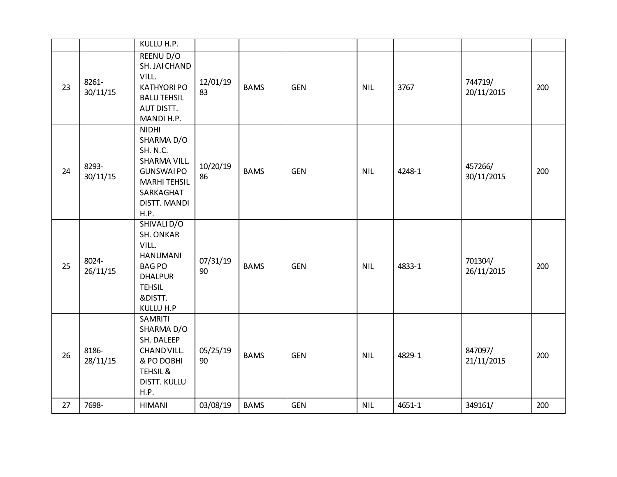|    |                   | KULLU H.P.                                                                                                                             |                |             |            |            |        |                       |     |
|----|-------------------|----------------------------------------------------------------------------------------------------------------------------------------|----------------|-------------|------------|------------|--------|-----------------------|-----|
| 23 | 8261-<br>30/11/15 | REENU D/O<br>SH. JAI CHAND<br>VILL.<br><b>KATHYORI PO</b><br><b>BALU TEHSIL</b><br>AUT DISTT.<br>MANDI H.P.                            | 12/01/19<br>83 | <b>BAMS</b> | <b>GEN</b> | <b>NIL</b> | 3767   | 744719/<br>20/11/2015 | 200 |
| 24 | 8293-<br>30/11/15 | <b>NIDHI</b><br>SHARMA D/O<br>SH. N.C.<br>SHARMA VILL.<br><b>GUNSWAIPO</b><br><b>MARHI TEHSIL</b><br>SARKAGHAT<br>DISTT. MANDI<br>H.P. | 10/20/19<br>86 | <b>BAMS</b> | <b>GEN</b> | <b>NIL</b> | 4248-1 | 457266/<br>30/11/2015 | 200 |
| 25 | 8024-<br>26/11/15 | SHIVALI D/O<br><b>SH. ONKAR</b><br>VILL.<br><b>HANUMANI</b><br><b>BAGPO</b><br><b>DHALPUR</b><br><b>TEHSIL</b><br>&DISTT.<br>KULLU H.P | 07/31/19<br>90 | <b>BAMS</b> | <b>GEN</b> | <b>NIL</b> | 4833-1 | 701304/<br>26/11/2015 | 200 |
| 26 | 8186-<br>28/11/15 | SAMRITI<br>SHARMA D/O<br>SH. DALEEP<br>CHAND VILL.<br>& PO DOBHI<br><b>TEHSIL &amp;</b><br><b>DISTT. KULLU</b><br>H.P.                 | 05/25/19<br>90 | <b>BAMS</b> | <b>GEN</b> | <b>NIL</b> | 4829-1 | 847097/<br>21/11/2015 | 200 |
| 27 | 7698-             | <b>HIMANI</b>                                                                                                                          | 03/08/19       | <b>BAMS</b> | <b>GEN</b> | <b>NIL</b> | 4651-1 | 349161/               | 200 |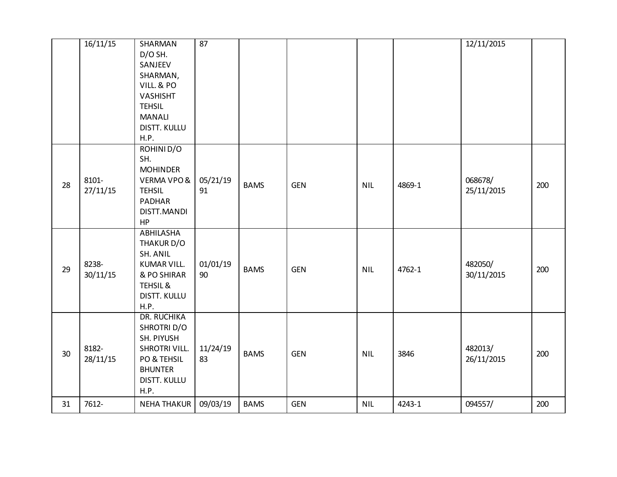|                 | 16/11/15          | SHARMAN<br>D/O SH.<br>SANJEEV<br>SHARMAN,<br>VILL. & PO<br><b>VASHISHT</b><br><b>TEHSIL</b><br><b>MANALI</b><br><b>DISTT. KULLU</b><br>H.P. | 87             |             |            |            |        | 12/11/2015            |     |
|-----------------|-------------------|---------------------------------------------------------------------------------------------------------------------------------------------|----------------|-------------|------------|------------|--------|-----------------------|-----|
| 28              | 8101-<br>27/11/15 | ROHINID/O<br>SH.<br><b>MOHINDER</b><br>VERMA VPO&<br><b>TEHSIL</b><br><b>PADHAR</b><br>DISTT.MANDI<br>HP                                    | 05/21/19<br>91 | <b>BAMS</b> | <b>GEN</b> | <b>NIL</b> | 4869-1 | 068678/<br>25/11/2015 | 200 |
| 29              | 8238-<br>30/11/15 | <b>ABHILASHA</b><br>THAKUR D/O<br>SH. ANIL<br><b>KUMAR VILL.</b><br>& PO SHIRAR<br><b>TEHSIL &amp;</b><br><b>DISTT. KULLU</b><br>H.P.       | 01/01/19<br>90 | <b>BAMS</b> | <b>GEN</b> | <b>NIL</b> | 4762-1 | 482050/<br>30/11/2015 | 200 |
| 30 <sup>°</sup> | 8182-<br>28/11/15 | <b>DR. RUCHIKA</b><br>SHROTRI D/O<br>SH. PIYUSH<br>SHROTRI VILL.<br>PO & TEHSIL<br><b>BHUNTER</b><br><b>DISTT. KULLU</b><br>H.P.            | 11/24/19<br>83 | <b>BAMS</b> | <b>GEN</b> | <b>NIL</b> | 3846   | 482013/<br>26/11/2015 | 200 |
| 31              | 7612-             | <b>NEHA THAKUR</b>                                                                                                                          | 09/03/19       | <b>BAMS</b> | <b>GEN</b> | <b>NIL</b> | 4243-1 | 094557/               | 200 |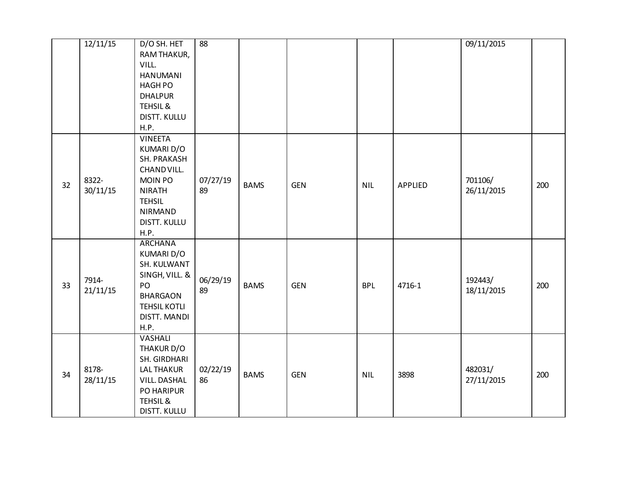|    | 12/11/15          | D/O SH. HET<br>RAM THAKUR,<br>VILL.<br><b>HANUMANI</b><br><b>HAGH PO</b><br><b>DHALPUR</b><br>TEHSIL &<br>DISTT. KULLU<br>H.P.                           | 88             |             |            |            |         | 09/11/2015            |     |
|----|-------------------|----------------------------------------------------------------------------------------------------------------------------------------------------------|----------------|-------------|------------|------------|---------|-----------------------|-----|
| 32 | 8322-<br>30/11/15 | <b>VINEETA</b><br>KUMARI D/O<br>SH. PRAKASH<br>CHAND VILL.<br><b>MOIN PO</b><br><b>NIRATH</b><br><b>TEHSIL</b><br><b>NIRMAND</b><br>DISTT. KULLU<br>H.P. | 07/27/19<br>89 | <b>BAMS</b> | <b>GEN</b> | <b>NIL</b> | APPLIED | 701106/<br>26/11/2015 | 200 |
| 33 | 7914-<br>21/11/15 | <b>ARCHANA</b><br>KUMARI D/O<br>SH. KULWANT<br>SINGH, VILL. &<br>PO<br><b>BHARGAON</b><br><b>TEHSIL KOTLI</b><br>DISTT. MANDI<br>H.P.                    | 06/29/19<br>89 | <b>BAMS</b> | <b>GEN</b> | <b>BPL</b> | 4716-1  | 192443/<br>18/11/2015 | 200 |
| 34 | 8178-<br>28/11/15 | <b>VASHALI</b><br>THAKUR D/O<br>SH. GIRDHARI<br><b>LAL THAKUR</b><br>VILL. DASHAL<br>PO HARIPUR<br>TEHSIL &<br>DISTT. KULLU                              | 02/22/19<br>86 | <b>BAMS</b> | <b>GEN</b> | <b>NIL</b> | 3898    | 482031/<br>27/11/2015 | 200 |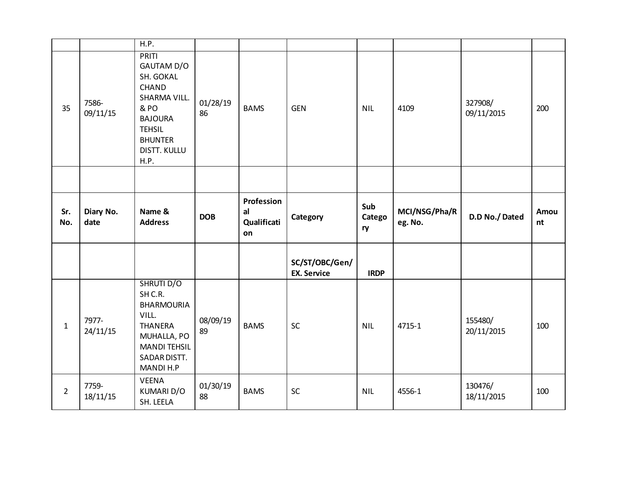|                |                   | H.P.                                                                                                                                                         |                |                                       |                                      |                     |                          |                       |            |
|----------------|-------------------|--------------------------------------------------------------------------------------------------------------------------------------------------------------|----------------|---------------------------------------|--------------------------------------|---------------------|--------------------------|-----------------------|------------|
| 35             | 7586-<br>09/11/15 | PRITI<br>GAUTAM D/O<br>SH. GOKAL<br><b>CHAND</b><br>SHARMA VILL.<br>& PO<br><b>BAJOURA</b><br><b>TEHSIL</b><br><b>BHUNTER</b><br><b>DISTT. KULLU</b><br>H.P. | 01/28/19<br>86 | <b>BAMS</b>                           | <b>GEN</b>                           | <b>NIL</b>          | 4109                     | 327908/<br>09/11/2015 | 200        |
|                |                   |                                                                                                                                                              |                |                                       |                                      |                     |                          |                       |            |
| Sr.<br>No.     | Diary No.<br>date | Name &<br><b>Address</b>                                                                                                                                     | <b>DOB</b>     | Profession<br>al<br>Qualificati<br>on | Category                             | Sub<br>Catego<br>ry | MCI/NSG/Pha/R<br>eg. No. | D.D No./Dated         | Amou<br>nt |
|                |                   |                                                                                                                                                              |                |                                       | SC/ST/OBC/Gen/<br><b>EX. Service</b> | <b>IRDP</b>         |                          |                       |            |
| $\mathbf{1}$   | 7977-<br>24/11/15 | <b>SHRUTI D/O</b><br>SH C.R.<br><b>BHARMOURIA</b><br>VILL.<br>THANERA<br>MUHALLA, PO<br><b>MANDI TEHSIL</b><br>SADAR DISTT.<br><b>MANDI H.P</b>              | 08/09/19<br>89 | <b>BAMS</b>                           | SC                                   | <b>NIL</b>          | 4715-1                   | 155480/<br>20/11/2015 | 100        |
| $\overline{2}$ | 7759-             | <b>VEENA</b><br>KUMARI D/O                                                                                                                                   | 01/30/19       | <b>BAMS</b>                           | SC                                   | <b>NIL</b>          | 4556-1                   | 130476/               | 100        |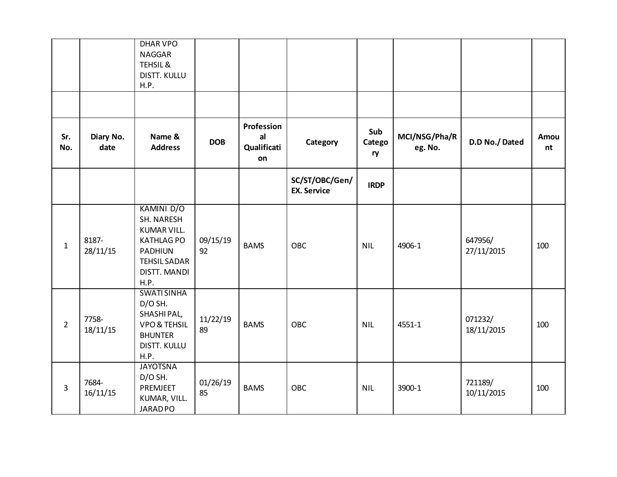|                |                   | <b>DHAR VPO</b><br><b>NAGGAR</b><br><b>TEHSIL &amp;</b><br><b>DISTT. KULLU</b>                                                              |                |                                       |                                      |                     |                          |                       |            |
|----------------|-------------------|---------------------------------------------------------------------------------------------------------------------------------------------|----------------|---------------------------------------|--------------------------------------|---------------------|--------------------------|-----------------------|------------|
|                |                   | <b>H.P.</b>                                                                                                                                 |                |                                       |                                      |                     |                          |                       |            |
|                |                   |                                                                                                                                             |                |                                       |                                      |                     |                          |                       |            |
| Sr.<br>No.     | Diary No.<br>date | Name &<br><b>Address</b>                                                                                                                    | <b>DOB</b>     | Profession<br>al<br>Qualificati<br>on | Category                             | Sub<br>Catego<br>ry | MCI/NSG/Pha/R<br>eg. No. | D.D No./Dated         | Amou<br>nt |
|                |                   |                                                                                                                                             |                |                                       | SC/ST/OBC/Gen/<br><b>EX. Service</b> | <b>IRDP</b>         |                          |                       |            |
| $\mathbf{1}$   | 8187-<br>28/11/15 | <b>KAMINI D/O</b><br>SH. NARESH<br><b>KUMAR VILL.</b><br><b>KATHLAG PO</b><br><b>PADHIUN</b><br><b>TEHSIL SADAR</b><br>DISTT. MANDI<br>H.P. | 09/15/19<br>92 | <b>BAMS</b>                           | <b>OBC</b>                           | <b>NIL</b>          | 4906-1                   | 647956/<br>27/11/2015 | 100        |
| $\overline{2}$ | 7758-<br>18/11/15 | <b>SWATI SINHA</b><br>D/O SH.<br>SHASHIPAL,<br><b>VPO &amp; TEHSIL</b><br><b>BHUNTER</b><br><b>DISTT. KULLU</b><br>H.P.                     | 11/22/19<br>89 | <b>BAMS</b>                           | <b>OBC</b>                           | <b>NIL</b>          | 4551-1                   | 071232/<br>18/11/2015 | 100        |
| 3              | 7684-<br>16/11/15 | <b>JAYOTSNA</b><br>D/O SH.<br>PREMJEET<br>KUMAR, VILL.<br><b>JARADPO</b>                                                                    | 01/26/19<br>85 | <b>BAMS</b>                           | OBC                                  | <b>NIL</b>          | 3900-1                   | 721189/<br>10/11/2015 | 100        |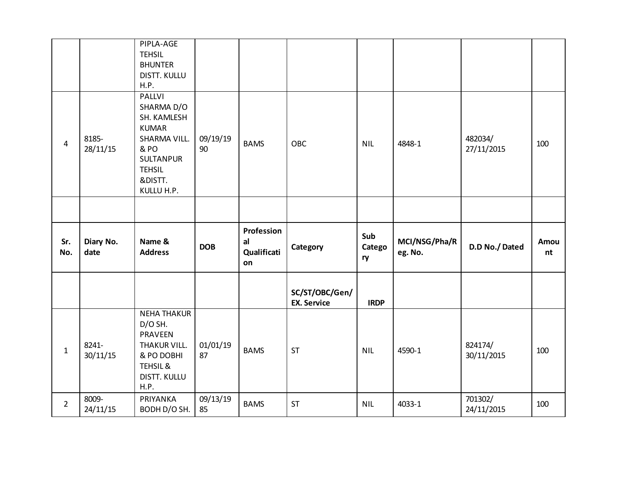|                         |                   | PIPLA-AGE<br><b>TEHSIL</b><br><b>BHUNTER</b><br>DISTT. KULLU<br>H.P.                                                                      |                |                                       |                                      |                     |                          |                       |            |
|-------------------------|-------------------|-------------------------------------------------------------------------------------------------------------------------------------------|----------------|---------------------------------------|--------------------------------------|---------------------|--------------------------|-----------------------|------------|
| $\overline{\mathbf{4}}$ | 8185-<br>28/11/15 | PALLVI<br>SHARMA D/O<br>SH. KAMLESH<br><b>KUMAR</b><br>SHARMA VILL.<br>& PO<br><b>SULTANPUR</b><br><b>TEHSIL</b><br>&DISTT.<br>KULLU H.P. | 09/19/19<br>90 | <b>BAMS</b>                           | OBC                                  | <b>NIL</b>          | 4848-1                   | 482034/<br>27/11/2015 | 100        |
|                         |                   |                                                                                                                                           |                |                                       |                                      |                     |                          |                       |            |
|                         |                   |                                                                                                                                           |                |                                       |                                      |                     |                          |                       |            |
| Sr.<br>No.              | Diary No.<br>date | Name &<br><b>Address</b>                                                                                                                  | <b>DOB</b>     | Profession<br>al<br>Qualificati<br>on | Category                             | Sub<br>Catego<br>ry | MCI/NSG/Pha/R<br>eg. No. | D.D No./Dated         | Amou<br>nt |
|                         |                   |                                                                                                                                           |                |                                       | SC/ST/OBC/Gen/<br><b>EX. Service</b> | <b>IRDP</b>         |                          |                       |            |
| $\mathbf{1}$            | 8241-<br>30/11/15 | <b>NEHA THAKUR</b><br>D/O SH.<br>PRAVEEN<br>THAKUR VILL.<br>& PO DOBHI<br><b>TEHSIL &amp;</b><br>DISTT. KULLU<br>H.P.                     | 01/01/19<br>87 | <b>BAMS</b>                           | <b>ST</b>                            | <b>NIL</b>          | 4590-1                   | 824174/<br>30/11/2015 | 100        |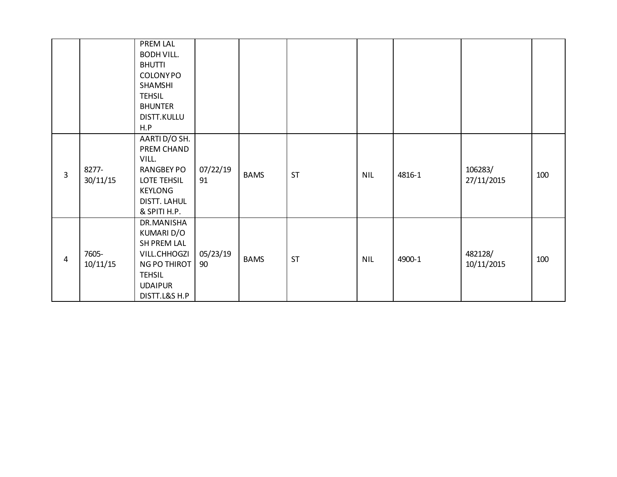|                |          | PREM LAL          |          |             |           |            |        |            |     |
|----------------|----------|-------------------|----------|-------------|-----------|------------|--------|------------|-----|
|                |          | <b>BODH VILL.</b> |          |             |           |            |        |            |     |
|                |          | <b>BHUTTI</b>     |          |             |           |            |        |            |     |
|                |          | <b>COLONYPO</b>   |          |             |           |            |        |            |     |
|                |          | SHAMSHI           |          |             |           |            |        |            |     |
|                |          | <b>TEHSIL</b>     |          |             |           |            |        |            |     |
|                |          | <b>BHUNTER</b>    |          |             |           |            |        |            |     |
|                |          | DISTT.KULLU       |          |             |           |            |        |            |     |
|                |          | H.P               |          |             |           |            |        |            |     |
|                |          | AARTI D/O SH.     |          |             |           |            |        |            |     |
|                |          | PREM CHAND        |          |             |           |            |        |            |     |
|                |          | VILL.             |          |             |           |            |        |            |     |
| 3              | 8277-    | <b>RANGBEY PO</b> | 07/22/19 | <b>BAMS</b> | <b>ST</b> | <b>NIL</b> | 4816-1 | 106283/    | 100 |
|                | 30/11/15 | LOTE TEHSIL       | 91       |             |           |            |        | 27/11/2015 |     |
|                |          | <b>KEYLONG</b>    |          |             |           |            |        |            |     |
|                |          | DISTT. LAHUL      |          |             |           |            |        |            |     |
|                |          | & SPITI H.P.      |          |             |           |            |        |            |     |
|                |          | DR.MANISHA        |          |             |           |            |        |            |     |
|                |          | KUMARI D/O        |          |             |           |            |        |            |     |
|                |          | SH PREM LAL       |          |             |           |            |        |            |     |
| $\overline{4}$ | 7605-    | VILL.CHHOGZI      | 05/23/19 | <b>BAMS</b> | <b>ST</b> | <b>NIL</b> | 4900-1 | 482128/    | 100 |
|                | 10/11/15 | NG PO THIROT      | 90       |             |           |            |        | 10/11/2015 |     |
|                |          | <b>TEHSIL</b>     |          |             |           |            |        |            |     |
|                |          | <b>UDAIPUR</b>    |          |             |           |            |        |            |     |
|                |          | DISTT.L&S H.P     |          |             |           |            |        |            |     |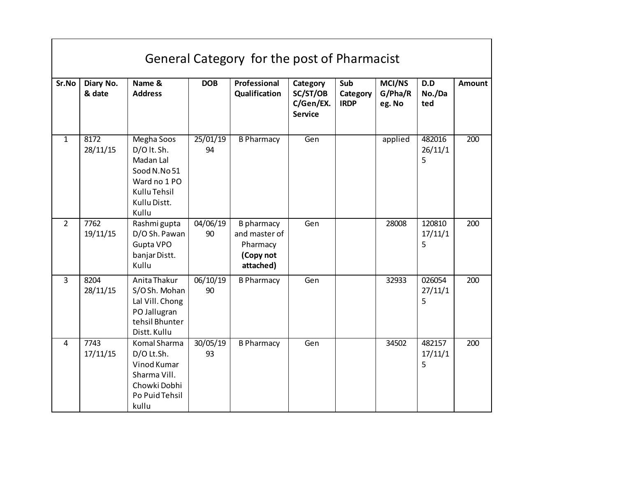|                | General Category for the post of Pharmacist |                                                                                                                 |                |                                                                   |                                                     |                                |                             |                        |                  |  |  |  |
|----------------|---------------------------------------------|-----------------------------------------------------------------------------------------------------------------|----------------|-------------------------------------------------------------------|-----------------------------------------------------|--------------------------------|-----------------------------|------------------------|------------------|--|--|--|
| Sr.No          | Diary No.<br>& date                         | Name &<br><b>Address</b>                                                                                        | <b>DOB</b>     | Professional<br>Qualification                                     | Category<br>SC/ST/OB<br>C/Gen/EX.<br><b>Service</b> | Sub<br>Category<br><b>IRDP</b> | MCI/NS<br>G/Pha/R<br>eg. No | D.D<br>No./Da<br>ted   | <b>Amount</b>    |  |  |  |
| $\mathbf{1}$   | 8172<br>28/11/15                            | Megha Soos<br>D/O lt. Sh.<br>Madan Lal<br>Sood N.No 51<br>Ward no 1 PO<br>Kullu Tehsil<br>Kullu Distt.<br>Kullu | 25/01/19<br>94 | <b>B Pharmacy</b>                                                 | Gen                                                 |                                | applied                     | 482016<br>26/11/1<br>5 | $\overline{200}$ |  |  |  |
| $\overline{2}$ | 7762<br>19/11/15                            | Rashmi gupta<br>D/O Sh. Pawan<br>Gupta VPO<br>banjar Distt.<br>Kullu                                            | 04/06/19<br>90 | B pharmacy<br>and master of<br>Pharmacy<br>(Copy not<br>attached) | Gen                                                 |                                | 28008                       | 120810<br>17/11/1<br>5 | 200              |  |  |  |
| $\overline{3}$ | 8204<br>28/11/15                            | Anita Thakur<br>S/OSh. Mohan<br>Lal Vill. Chong<br>PO Jallugran<br>tehsil Bhunter<br>Distt. Kullu               | 06/10/19<br>90 | <b>B Pharmacy</b>                                                 | Gen                                                 |                                | 32933                       | 026054<br>27/11/1<br>5 | 200              |  |  |  |
| 4              | 7743<br>17/11/15                            | Komal Sharma<br>D/O Lt.Sh.<br>Vinod Kumar<br>Sharma Vill.<br>Chowki Dobhi<br>Po Puid Tehsil<br>kullu            | 30/05/19<br>93 | <b>B Pharmacy</b>                                                 | Gen                                                 |                                | 34502                       | 482157<br>17/11/1<br>5 | 200              |  |  |  |

г

┑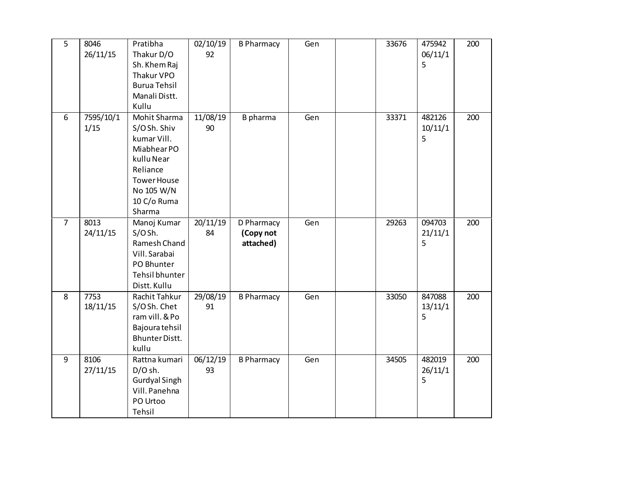| $\overline{5}$ | 8046      | Pratibha             | 02/10/19            | <b>B Pharmacy</b> | Gen | 33676 | 475942  | 200 |
|----------------|-----------|----------------------|---------------------|-------------------|-----|-------|---------|-----|
|                | 26/11/15  | Thakur D/O           | 92                  |                   |     |       | 06/11/1 |     |
|                |           | Sh. Khem Raj         |                     |                   |     |       | 5       |     |
|                |           | Thakur VPO           |                     |                   |     |       |         |     |
|                |           | <b>Burua Tehsil</b>  |                     |                   |     |       |         |     |
|                |           | Manali Distt.        |                     |                   |     |       |         |     |
|                |           | Kullu                |                     |                   |     |       |         |     |
| 6              | 7595/10/1 | Mohit Sharma         | 11/08/19            | B pharma          | Gen | 33371 | 482126  | 200 |
|                | 1/15      | S/OSh. Shiv          | 90                  |                   |     |       | 10/11/1 |     |
|                |           | kumar Vill.          |                     |                   |     |       | 5       |     |
|                |           | Miabhear PO          |                     |                   |     |       |         |     |
|                |           | kullu Near           |                     |                   |     |       |         |     |
|                |           | Reliance             |                     |                   |     |       |         |     |
|                |           | <b>Tower House</b>   |                     |                   |     |       |         |     |
|                |           | No 105 W/N           |                     |                   |     |       |         |     |
|                |           | 10 C/o Ruma          |                     |                   |     |       |         |     |
|                |           | Sharma               |                     |                   |     |       |         |     |
| $\overline{7}$ | 8013      | Manoj Kumar          | 20/11/19            | D Pharmacy        | Gen | 29263 | 094703  | 200 |
|                | 24/11/15  | S/OSh.               | 84                  | (Copy not         |     |       | 21/11/1 |     |
|                |           | Ramesh Chand         |                     | attached)         |     |       | 5       |     |
|                |           | Vill. Sarabai        |                     |                   |     |       |         |     |
|                |           | PO Bhunter           |                     |                   |     |       |         |     |
|                |           | Tehsil bhunter       |                     |                   |     |       |         |     |
|                |           | Distt. Kullu         |                     |                   |     |       |         |     |
| $\overline{8}$ | 7753      | Rachit Tahkur        | 29/08/19            | <b>B Pharmacy</b> | Gen | 33050 | 847088  | 200 |
|                | 18/11/15  | S/OSh. Chet          | 91                  |                   |     |       | 13/11/1 |     |
|                |           | ram vill. & Po       |                     |                   |     |       | 5       |     |
|                |           | Bajoura tehsil       |                     |                   |     |       |         |     |
|                |           | Bhunter Distt.       |                     |                   |     |       |         |     |
|                |           | kullu                |                     |                   |     |       |         |     |
| 9              | 8106      | Rattna kumari        | $\frac{06}{12}{19}$ | <b>B Pharmacy</b> | Gen | 34505 | 482019  | 200 |
|                | 27/11/15  | $D/O$ sh.            | 93                  |                   |     |       | 26/11/1 |     |
|                |           | <b>Gurdyal Singh</b> |                     |                   |     |       | 5       |     |
|                |           | Vill. Panehna        |                     |                   |     |       |         |     |
|                |           | PO Urtoo             |                     |                   |     |       |         |     |
|                |           | Tehsil               |                     |                   |     |       |         |     |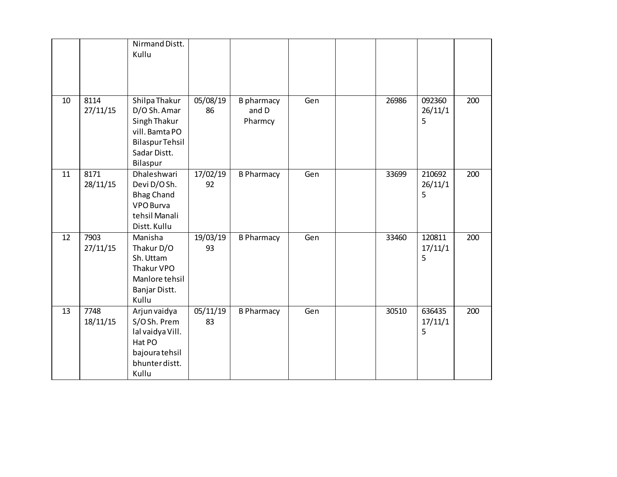|    |                  | Nirmand Distt.<br>Kullu                                                                                               |                |                                       |     |       |                        |     |
|----|------------------|-----------------------------------------------------------------------------------------------------------------------|----------------|---------------------------------------|-----|-------|------------------------|-----|
| 10 | 8114<br>27/11/15 | Shilpa Thakur<br>D/O Sh. Amar<br>Singh Thakur<br>vill. Bamta PO<br><b>Bilaspur Tehsil</b><br>Sadar Distt.<br>Bilaspur | 05/08/19<br>86 | <b>B</b> pharmacy<br>and D<br>Pharmcy | Gen | 26986 | 092360<br>26/11/1<br>5 | 200 |
| 11 | 8171<br>28/11/15 | Dhaleshwari<br>Devi D/OSh.<br><b>Bhag Chand</b><br>VPO Burva<br>tehsil Manali<br>Distt. Kullu                         | 17/02/19<br>92 | <b>B Pharmacy</b>                     | Gen | 33699 | 210692<br>26/11/1<br>5 | 200 |
| 12 | 7903<br>27/11/15 | Manisha<br>Thakur D/O<br>Sh. Uttam<br>Thakur VPO<br>Manlore tehsil<br>Banjar Distt.<br>Kullu                          | 19/03/19<br>93 | <b>B Pharmacy</b>                     | Gen | 33460 | 120811<br>17/11/1<br>5 | 200 |
| 13 | 7748<br>18/11/15 | Arjun vaidya<br>S/OSh. Prem<br>lal vaidya Vill.<br>Hat PO<br>bajoura tehsil<br>bhunter distt.<br>Kullu                | 05/11/19<br>83 | <b>B Pharmacy</b>                     | Gen | 30510 | 636435<br>17/11/1<br>5 | 200 |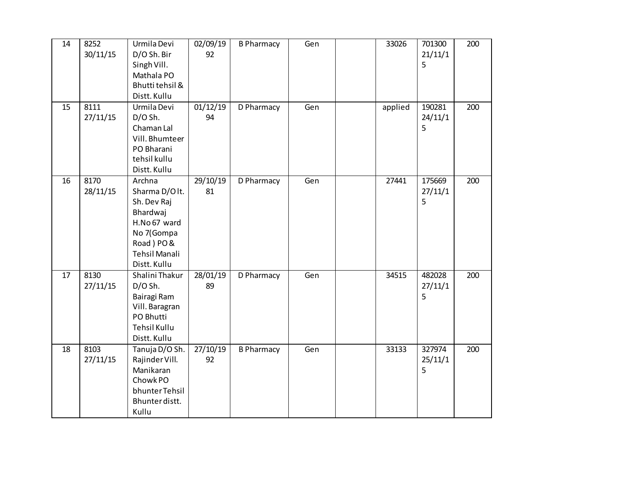| 14 | 8252     | Urmila Devi          | 02/09/19 | <b>B Pharmacy</b> | Gen | 33026   | 701300  | 200 |
|----|----------|----------------------|----------|-------------------|-----|---------|---------|-----|
|    | 30/11/15 | D/O Sh. Bir          | 92       |                   |     |         | 21/11/1 |     |
|    |          | Singh Vill.          |          |                   |     |         | 5       |     |
|    |          | Mathala PO           |          |                   |     |         |         |     |
|    |          | Bhutti tehsil &      |          |                   |     |         |         |     |
|    |          | Distt. Kullu         |          |                   |     |         |         |     |
| 15 | 8111     | Urmila Devi          | 01/12/19 | D Pharmacy        | Gen | applied | 190281  | 200 |
|    | 27/11/15 | $D/O$ Sh.            | 94       |                   |     |         | 24/11/1 |     |
|    |          | Chaman Lal           |          |                   |     |         | 5       |     |
|    |          | Vill. Bhumteer       |          |                   |     |         |         |     |
|    |          | PO Bharani           |          |                   |     |         |         |     |
|    |          | tehsil kullu         |          |                   |     |         |         |     |
|    |          | Distt. Kullu         |          |                   |     |         |         |     |
| 16 | 8170     | Archna               | 29/10/19 | D Pharmacy        | Gen | 27441   | 175669  | 200 |
|    | 28/11/15 | Sharma D/Olt.        | 81       |                   |     |         | 27/11/1 |     |
|    |          | Sh. Dev Raj          |          |                   |     |         | 5       |     |
|    |          | Bhardwaj             |          |                   |     |         |         |     |
|    |          | H.No 67 ward         |          |                   |     |         |         |     |
|    |          | No 7(Gompa           |          |                   |     |         |         |     |
|    |          | Road) PO&            |          |                   |     |         |         |     |
|    |          | <b>Tehsil Manali</b> |          |                   |     |         |         |     |
|    |          | Distt. Kullu         |          |                   |     |         |         |     |
| 17 | 8130     | Shalini Thakur       | 28/01/19 | D Pharmacy        | Gen | 34515   | 482028  | 200 |
|    | 27/11/15 | $D/O$ Sh.            | 89       |                   |     |         | 27/11/1 |     |
|    |          | Bairagi Ram          |          |                   |     |         | 5       |     |
|    |          | Vill. Baragran       |          |                   |     |         |         |     |
|    |          | PO Bhutti            |          |                   |     |         |         |     |
|    |          | <b>Tehsil Kullu</b>  |          |                   |     |         |         |     |
|    |          | Distt. Kullu         |          |                   |     |         |         |     |
| 18 | 8103     | Tanuja D/O Sh.       | 27/10/19 | <b>B Pharmacy</b> | Gen | 33133   | 327974  | 200 |
|    | 27/11/15 | Rajinder Vill.       | 92       |                   |     |         | 25/11/1 |     |
|    |          | Manikaran            |          |                   |     |         | 5       |     |
|    |          | Chowk PO             |          |                   |     |         |         |     |
|    |          | bhunter Tehsil       |          |                   |     |         |         |     |
|    |          | Bhunter distt.       |          |                   |     |         |         |     |
|    |          | Kullu                |          |                   |     |         |         |     |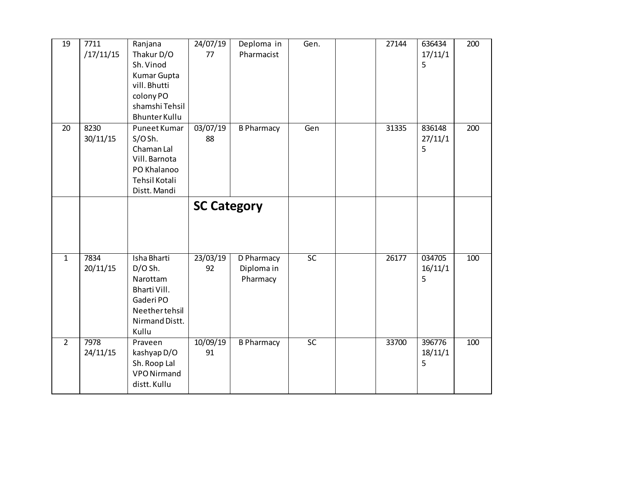| 19             | 7711<br>/17/11/15 | Ranjana<br>Thakur D/O<br>Sh. Vinod<br><b>Kumar Gupta</b><br>vill. Bhutti<br>colony PO<br>shamshi Tehsil<br><b>Bhunter Kullu</b> | 24/07/19<br>77     | Deploma in<br>Pharmacist             | Gen.            | 27144 | 636434<br>17/11/1<br>5 | 200 |
|----------------|-------------------|---------------------------------------------------------------------------------------------------------------------------------|--------------------|--------------------------------------|-----------------|-------|------------------------|-----|
| 20             | 8230<br>30/11/15  | Puneet Kumar<br>S/OSh.<br>Chaman Lal<br>Vill. Barnota<br>PO Khalanoo<br><b>Tehsil Kotali</b><br>Distt. Mandi                    | 03/07/19<br>88     | <b>B Pharmacy</b>                    | Gen             | 31335 | 836148<br>27/11/1<br>5 | 200 |
|                |                   |                                                                                                                                 | <b>SC Category</b> |                                      |                 |       |                        |     |
| $\overline{1}$ | 7834<br>20/11/15  | Isha Bharti<br>D/O Sh.<br>Narottam<br>Bharti Vill.<br>Gaderi PO<br>Neethertehsil<br>Nirmand Distt.<br>Kullu                     | 23/03/19<br>92     | D Pharmacy<br>Diploma in<br>Pharmacy | $\overline{SC}$ | 26177 | 034705<br>16/11/1<br>5 | 100 |
| $\overline{2}$ | 7978<br>24/11/15  | Praveen<br>kashyap D/O<br>Sh. Roop Lal<br><b>VPO Nirmand</b><br>distt. Kullu                                                    | 10/09/19<br>91     | <b>B Pharmacy</b>                    | $\overline{SC}$ | 33700 | 396776<br>18/11/1<br>5 | 100 |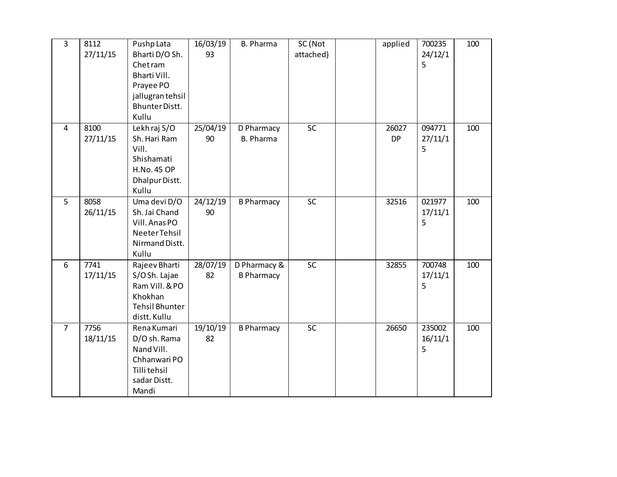| $\overline{3}$ | 8112     | Pushp Lata                     | 16/03/19 | <b>B. Pharma</b>  | SC (Not   | applied   | 700235  | 100 |
|----------------|----------|--------------------------------|----------|-------------------|-----------|-----------|---------|-----|
|                | 27/11/15 | Bharti D/O Sh.                 | 93       |                   | attached) |           | 24/12/1 |     |
|                |          | Chet ram                       |          |                   |           |           | 5       |     |
|                |          | Bharti Vill.                   |          |                   |           |           |         |     |
|                |          | Prayee PO                      |          |                   |           |           |         |     |
|                |          | jallugran tehsil               |          |                   |           |           |         |     |
|                |          | <b>Bhunter Distt.</b>          |          |                   |           |           |         |     |
|                |          | Kullu                          |          |                   |           |           |         |     |
| $\overline{4}$ | 8100     | Lekhraj S/O                    | 25/04/19 | D Pharmacy        | SC        | 26027     | 094771  | 100 |
|                | 27/11/15 | Sh. Hari Ram                   | 90       | <b>B. Pharma</b>  |           | <b>DP</b> | 27/11/1 |     |
|                |          | Vill.                          |          |                   |           |           | 5       |     |
|                |          | Shishamati                     |          |                   |           |           |         |     |
|                |          | <b>H.No. 45 OP</b>             |          |                   |           |           |         |     |
|                |          | Dhalpur Distt.                 |          |                   |           |           |         |     |
|                |          | Kullu                          |          |                   |           |           |         |     |
| 5              | 8058     | Uma devi D/O                   | 24/12/19 | <b>B Pharmacy</b> | SC        | 32516     | 021977  | 100 |
|                | 26/11/15 | Sh. Jai Chand                  | 90       |                   |           |           | 17/11/1 |     |
|                |          | Vill. Anas PO<br>Neeter Tehsil |          |                   |           |           | 5       |     |
|                |          | Nirmand Distt.                 |          |                   |           |           |         |     |
|                |          | Kullu                          |          |                   |           |           |         |     |
| 6              | 7741     | Rajeev Bharti                  | 28/07/19 | D Pharmacy &      | SC        | 32855     | 700748  | 100 |
|                | 17/11/15 | S/OSh. Lajae                   | 82       | <b>B Pharmacy</b> |           |           | 17/11/1 |     |
|                |          | Ram Vill. & PO                 |          |                   |           |           | 5       |     |
|                |          | Khokhan                        |          |                   |           |           |         |     |
|                |          | <b>Tehsil Bhunter</b>          |          |                   |           |           |         |     |
|                |          | distt. Kullu                   |          |                   |           |           |         |     |
| $\overline{7}$ | 7756     | Rena Kumari                    | 19/10/19 | <b>B Pharmacy</b> | SC        | 26650     | 235002  | 100 |
|                | 18/11/15 | D/O sh. Rama                   | 82       |                   |           |           | 16/11/1 |     |
|                |          | Nand Vill.                     |          |                   |           |           | 5       |     |
|                |          | Chhanwari PO                   |          |                   |           |           |         |     |
|                |          | Tilli tehsil                   |          |                   |           |           |         |     |
|                |          | sadar Distt.                   |          |                   |           |           |         |     |
|                |          | Mandi                          |          |                   |           |           |         |     |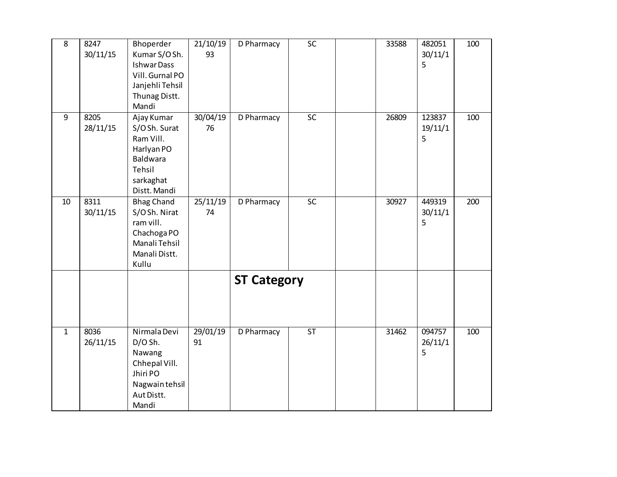| 8              | 8247<br>30/11/15 | Bhoperder<br>Kumar S/OSh.<br><b>Ishwar Dass</b><br>Vill. Gurnal PO<br>Janjehli Tehsil<br>Thunag Distt.<br>Mandi | 21/10/19<br>93 | D Pharmacy         | <b>SC</b>       | 33588 | 482051<br>30/11/1<br>5 | 100 |
|----------------|------------------|-----------------------------------------------------------------------------------------------------------------|----------------|--------------------|-----------------|-------|------------------------|-----|
| 9              | 8205<br>28/11/15 | Ajay Kumar<br>S/OSh. Surat<br>Ram Vill.<br>Harlyan PO<br>Baldwara<br>Tehsil<br>sarkaghat<br>Distt. Mandi        | 30/04/19<br>76 | D Pharmacy         | SC              | 26809 | 123837<br>19/11/1<br>5 | 100 |
| 10             | 8311<br>30/11/15 | <b>Bhag Chand</b><br>S/OSh. Nirat<br>ram vill.<br>Chachoga PO<br>Manali Tehsil<br>Manali Distt.<br>Kullu        | 25/11/19<br>74 | D Pharmacy         | $\overline{SC}$ | 30927 | 449319<br>30/11/1<br>5 | 200 |
|                |                  |                                                                                                                 |                | <b>ST Category</b> |                 |       |                        |     |
| $\overline{1}$ | 8036<br>26/11/15 | Nirmala Devi<br>$D/O$ Sh.<br>Nawang<br>Chhepal Vill.<br>Jhiri PO<br>Nagwain tehsil<br>Aut Distt.<br>Mandi       | 29/01/19<br>91 | D Pharmacy         | ST              | 31462 | 094757<br>26/11/1<br>5 | 100 |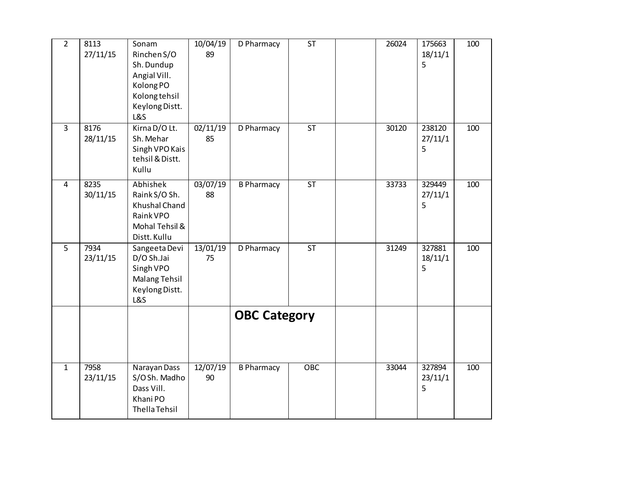| $\overline{2}$ | 8113<br>27/11/15 | Sonam<br>Rinchen S/O<br>Sh. Dundup<br>Angial Vill.<br>Kolong PO<br>Kolong tehsil<br>Keylong Distt.<br><b>L&amp;S</b> | 10/04/19<br>89 | D Pharmacy          | <b>ST</b> | 26024 | 175663<br>18/11/1<br>5 | 100 |
|----------------|------------------|----------------------------------------------------------------------------------------------------------------------|----------------|---------------------|-----------|-------|------------------------|-----|
| $\overline{3}$ | 8176<br>28/11/15 | Kirna D/O Lt.<br>Sh. Mehar<br>Singh VPO Kais<br>tehsil & Distt.<br>Kullu                                             | 02/11/19<br>85 | D Pharmacy          | <b>ST</b> | 30120 | 238120<br>27/11/1<br>5 | 100 |
| $\overline{4}$ | 8235<br>30/11/15 | Abhishek<br>Raink S/O Sh.<br>Khushal Chand<br>Raink VPO<br>Mohal Tehsil &<br>Distt. Kullu                            | 03/07/19<br>88 | <b>B Pharmacy</b>   | ST        | 33733 | 329449<br>27/11/1<br>5 | 100 |
| $\overline{5}$ | 7934<br>23/11/15 | Sangeeta Devi<br>D/O Sh.Jai<br>Singh VPO<br><b>Malang Tehsil</b><br>Keylong Distt.<br><b>L&amp;S</b>                 | 13/01/19<br>75 | D Pharmacy          | <b>ST</b> | 31249 | 327881<br>18/11/1<br>5 | 100 |
|                |                  |                                                                                                                      |                | <b>OBC Category</b> |           |       |                        |     |
| $\overline{1}$ | 7958<br>23/11/15 | Narayan Dass<br>S/OSh. Madho<br>Dass Vill.<br>Khani PO<br>Thella Tehsil                                              | 12/07/19<br>90 | <b>B Pharmacy</b>   | OBC       | 33044 | 327894<br>23/11/1<br>5 | 100 |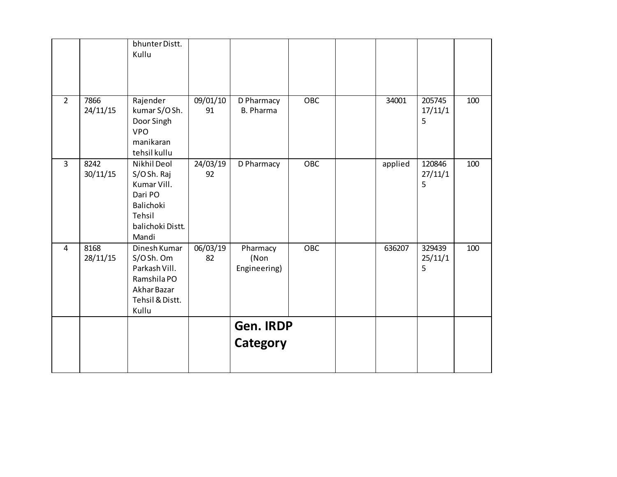|                |                  | bhunter Distt.<br>Kullu                                                                                 |                |                                  |            |         |                        |     |
|----------------|------------------|---------------------------------------------------------------------------------------------------------|----------------|----------------------------------|------------|---------|------------------------|-----|
| $\overline{2}$ | 7866<br>24/11/15 | Rajender<br>kumar S/OSh.<br>Door Singh<br><b>VPO</b><br>manikaran<br>tehsil kullu                       | 09/01/10<br>91 | D Pharmacy<br><b>B. Pharma</b>   | OBC        | 34001   | 205745<br>17/11/1<br>5 | 100 |
| $\overline{3}$ | 8242<br>30/11/15 | Nikhil Deol<br>S/OSh. Raj<br>Kumar Vill.<br>Dari PO<br>Balichoki<br>Tehsil<br>balichoki Distt.<br>Mandi | 24/03/19<br>92 | D Pharmacy                       | <b>OBC</b> | applied | 120846<br>27/11/1<br>5 | 100 |
| $\overline{4}$ | 8168<br>28/11/15 | Dinesh Kumar<br>S/OSh. Om<br>Parkash Vill.<br>Ramshila PO<br>Akhar Bazar<br>Tehsil & Distt.<br>Kullu    | 06/03/19<br>82 | Pharmacy<br>(Non<br>Engineering) | OBC        | 636207  | 329439<br>25/11/1<br>5 | 100 |
|                |                  |                                                                                                         |                | Gen. IRDP<br>Category            |            |         |                        |     |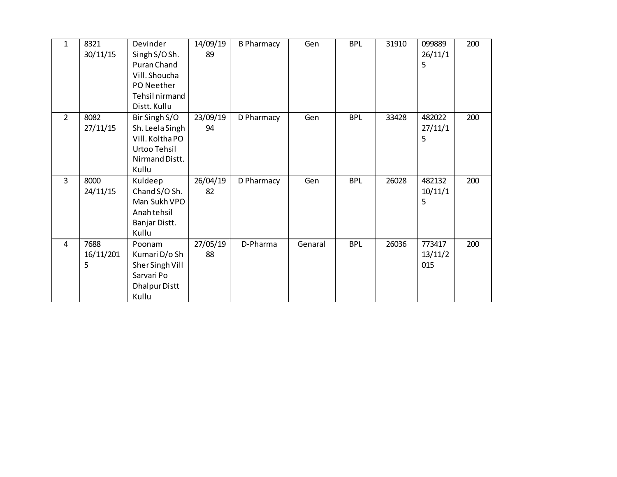| $\mathbf{1}$   | 8321<br>30/11/15       | Devinder<br>Singh S/O Sh.<br>Puran Chand<br>Vill. Shoucha<br>PO Neether<br>Tehsil nirmand<br>Distt. Kullu | 14/09/19<br>89 | <b>B Pharmacy</b> | Gen     | <b>BPL</b> | 31910 | 099889<br>26/11/1<br>5   | 200 |
|----------------|------------------------|-----------------------------------------------------------------------------------------------------------|----------------|-------------------|---------|------------|-------|--------------------------|-----|
| $\overline{2}$ | 8082<br>27/11/15       | Bir Singh S/O<br>Sh. Leela Singh<br>Vill. Koltha PO<br>Urtoo Tehsil<br>Nirmand Distt.<br>Kullu            | 23/09/19<br>94 | D Pharmacy        | Gen     | <b>BPL</b> | 33428 | 482022<br>27/11/1<br>5   | 200 |
| $\overline{3}$ | 8000<br>24/11/15       | Kuldeep<br>Chand S/O Sh.<br>Man Sukh VPO<br>Anah tehsil<br>Banjar Distt.<br>Kullu                         | 26/04/19<br>82 | D Pharmacy        | Gen     | <b>BPL</b> | 26028 | 482132<br>10/11/1<br>5   | 200 |
| 4              | 7688<br>16/11/201<br>5 | Poonam<br>Kumari D/o Sh<br>Sher Singh Vill<br>Sarvari Po<br><b>Dhalpur Distt</b><br>Kullu                 | 27/05/19<br>88 | D-Pharma          | Genaral | <b>BPL</b> | 26036 | 773417<br>13/11/2<br>015 | 200 |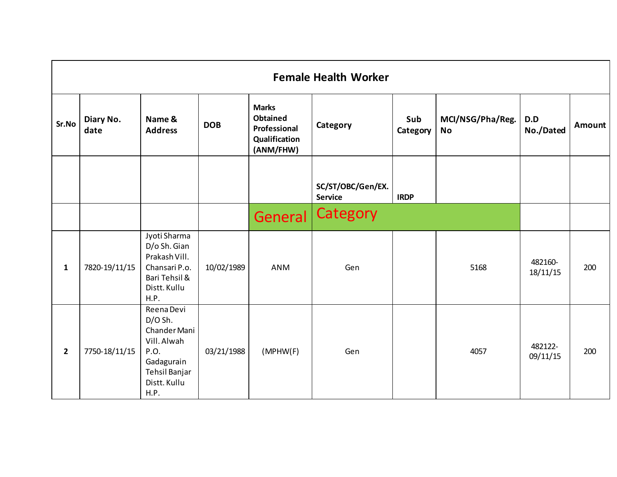|                | <b>Female Health Worker</b> |                                                                                                                       |            |                                                                               |                                     |                 |                        |                     |        |  |  |  |  |
|----------------|-----------------------------|-----------------------------------------------------------------------------------------------------------------------|------------|-------------------------------------------------------------------------------|-------------------------------------|-----------------|------------------------|---------------------|--------|--|--|--|--|
| Sr.No          | Diary No.<br>date           | Name &<br><b>Address</b>                                                                                              | <b>DOB</b> | <b>Marks</b><br><b>Obtained</b><br>Professional<br>Qualification<br>(ANM/FHW) | Category                            | Sub<br>Category | MCI/NSG/Pha/Reg.<br>No | D.D<br>No./Dated    | Amount |  |  |  |  |
|                |                             |                                                                                                                       |            |                                                                               | SC/ST/OBC/Gen/EX.<br><b>Service</b> | <b>IRDP</b>     |                        |                     |        |  |  |  |  |
|                |                             |                                                                                                                       |            | General                                                                       | Category                            |                 |                        |                     |        |  |  |  |  |
| $\mathbf{1}$   | 7820-19/11/15               | Jyoti Sharma<br>D/o Sh. Gian<br>Prakash Vill.<br>Chansari P.o.<br>Bari Tehsil &<br>Distt. Kullu<br>H.P.               | 10/02/1989 | <b>ANM</b>                                                                    | Gen                                 |                 | 5168                   | 482160-<br>18/11/15 | 200    |  |  |  |  |
| $\overline{2}$ | 7750-18/11/15               | Reena Devi<br>$D/O$ Sh.<br>Chander Mani<br>Vill. Alwah<br>P.O.<br>Gadagurain<br>Tehsil Banjar<br>Distt. Kullu<br>H.P. | 03/21/1988 | (MPHW(F))                                                                     | Gen                                 |                 | 4057                   | 482122-<br>09/11/15 | 200    |  |  |  |  |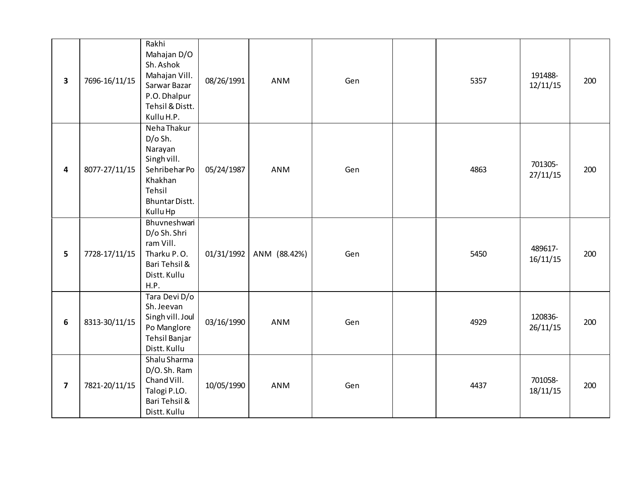| 3                       | 7696-16/11/15 | Rakhi<br>Mahajan D/O<br>Sh. Ashok<br>Mahajan Vill.<br>Sarwar Bazar<br>P.O. Dhalpur<br>Tehsil & Distt.<br>Kullu H.P.         | 08/26/1991 | <b>ANM</b>   | Gen | 5357 | 191488-<br>12/11/15 | 200 |
|-------------------------|---------------|-----------------------------------------------------------------------------------------------------------------------------|------------|--------------|-----|------|---------------------|-----|
| 4                       | 8077-27/11/15 | Neha Thakur<br>D/o Sh.<br>Narayan<br>Singh vill.<br>Sehribehar Po<br>Khakhan<br>Tehsil<br><b>Bhuntar Distt.</b><br>Kullu Hp | 05/24/1987 | <b>ANM</b>   | Gen | 4863 | 701305-<br>27/11/15 | 200 |
| 5                       | 7728-17/11/15 | Bhuvneshwari<br>D/o Sh. Shri<br>ram Vill.<br>Tharku P.O.<br>Bari Tehsil &<br>Distt. Kullu<br>H.P.                           | 01/31/1992 | ANM (88.42%) | Gen | 5450 | 489617-<br>16/11/15 | 200 |
| 6                       | 8313-30/11/15 | Tara Devi D/o<br>Sh. Jeevan<br>Singh vill. Joul<br>Po Manglore<br>Tehsil Banjar<br>Distt. Kullu                             | 03/16/1990 | ANM          | Gen | 4929 | 120836-<br>26/11/15 | 200 |
| $\overline{\mathbf{z}}$ | 7821-20/11/15 | Shalu Sharma<br>D/O. Sh. Ram<br>Chand Vill.<br>Talogi P.LO.<br>Bari Tehsil &<br>Distt. Kullu                                | 10/05/1990 | ANM          | Gen | 4437 | 701058-<br>18/11/15 | 200 |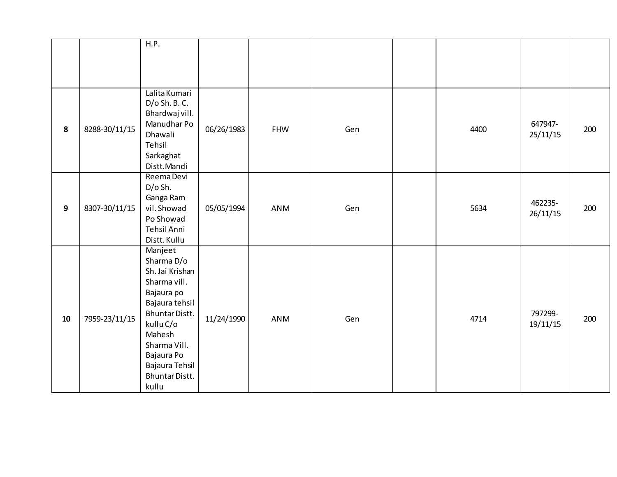|    |               | H.P.                                                                                                                                                                                                         |            |            |     |      |                     |     |
|----|---------------|--------------------------------------------------------------------------------------------------------------------------------------------------------------------------------------------------------------|------------|------------|-----|------|---------------------|-----|
|    |               |                                                                                                                                                                                                              |            |            |     |      |                     |     |
|    |               |                                                                                                                                                                                                              |            |            |     |      |                     |     |
| 8  | 8288-30/11/15 | Lalita Kumari<br>D/o Sh. B. C.<br>Bhardwaj vill.<br>Manudhar Po<br>Dhawali<br>Tehsil<br>Sarkaghat<br>Distt.Mandi                                                                                             | 06/26/1983 | <b>FHW</b> | Gen | 4400 | 647947-<br>25/11/15 | 200 |
| 9  | 8307-30/11/15 | Reema Devi<br>D/o Sh.<br>Ganga Ram<br>vil. Showad<br>Po Showad<br>Tehsil Anni<br>Distt. Kullu                                                                                                                | 05/05/1994 | <b>ANM</b> | Gen | 5634 | 462235-<br>26/11/15 | 200 |
| 10 | 7959-23/11/15 | Manjeet<br>Sharma D/o<br>Sh. Jai Krishan<br>Sharma vill.<br>Bajaura po<br>Bajaura tehsil<br>Bhuntar Distt.<br>kullu C/o<br>Mahesh<br>Sharma Vill.<br>Bajaura Po<br>Bajaura Tehsil<br>Bhuntar Distt.<br>kullu | 11/24/1990 | <b>ANM</b> | Gen | 4714 | 797299-<br>19/11/15 | 200 |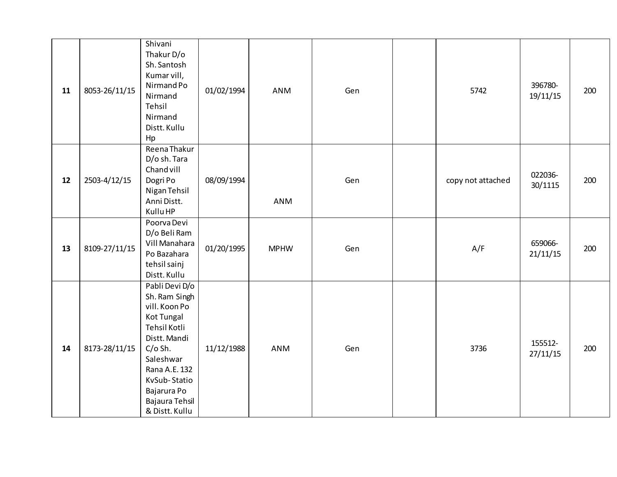| 11 | 8053-26/11/15 | Shivani<br>Thakur D/o<br>Sh. Santosh<br>Kumar vill,<br>Nirmand Po<br>Nirmand<br>Tehsil<br>Nirmand<br>Distt. Kullu<br>Hp                                                                                      | 01/02/1994 | ANM         | Gen | 5742              | 396780-<br>19/11/15 | 200 |
|----|---------------|--------------------------------------------------------------------------------------------------------------------------------------------------------------------------------------------------------------|------------|-------------|-----|-------------------|---------------------|-----|
| 12 | 2503-4/12/15  | Reena Thakur<br>D/o sh. Tara<br>Chand vill<br>Dogri Po<br>Nigan Tehsil<br>Anni Distt.<br>Kullu HP                                                                                                            | 08/09/1994 | ANM         | Gen | copy not attached | 022036-<br>30/1115  | 200 |
| 13 | 8109-27/11/15 | Poorva Devi<br>D/o Beli Ram<br>Vill Manahara<br>Po Bazahara<br>tehsil sainj<br>Distt. Kullu                                                                                                                  | 01/20/1995 | <b>MPHW</b> | Gen | A/F               | 659066-<br>21/11/15 | 200 |
| 14 | 8173-28/11/15 | Pabli Devi D/o<br>Sh. Ram Singh<br>vill. Koon Po<br>Kot Tungal<br>Tehsil Kotli<br>Distt. Mandi<br>$C/O$ Sh.<br>Saleshwar<br>Rana A.E. 132<br>KvSub-Statio<br>Bajarura Po<br>Bajaura Tehsil<br>& Distt. Kullu | 11/12/1988 | <b>ANM</b>  | Gen | 3736              | 155512-<br>27/11/15 | 200 |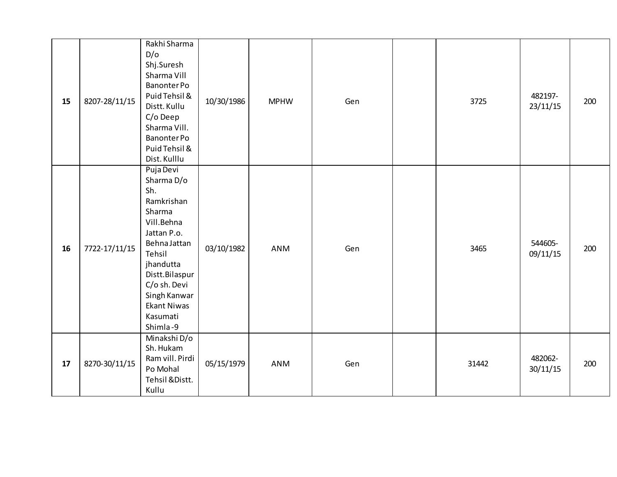| 15 | 8207-28/11/15 | Rakhi Sharma<br>D/O<br>Shj.Suresh<br>Sharma Vill<br>Banonter Po<br>Puid Tehsil &<br>Distt. Kullu<br>C/o Deep<br>Sharma Vill.<br>Banonter Po<br>Puid Tehsil &<br>Dist. Kulllu                                               | 10/30/1986 | <b>MPHW</b> | Gen | 3725  | 482197-<br>23/11/15 | 200 |
|----|---------------|----------------------------------------------------------------------------------------------------------------------------------------------------------------------------------------------------------------------------|------------|-------------|-----|-------|---------------------|-----|
| 16 | 7722-17/11/15 | Puja Devi<br>Sharma D/o<br>Sh.<br>Ramkrishan<br>Sharma<br>Vill.Behna<br>Jattan P.o.<br>Behna Jattan<br>Tehsil<br>jhandutta<br>Distt.Bilaspur<br>C/o sh. Devi<br>Singh Kanwar<br><b>Ekant Niwas</b><br>Kasumati<br>Shimla-9 | 03/10/1982 | ANM         | Gen | 3465  | 544605-<br>09/11/15 | 200 |
| 17 | 8270-30/11/15 | Minakshi D/o<br>Sh. Hukam<br>Ram vill. Pirdi<br>Po Mohal<br>Tehsil & Distt.<br>Kullu                                                                                                                                       | 05/15/1979 | ANM         | Gen | 31442 | 482062-<br>30/11/15 | 200 |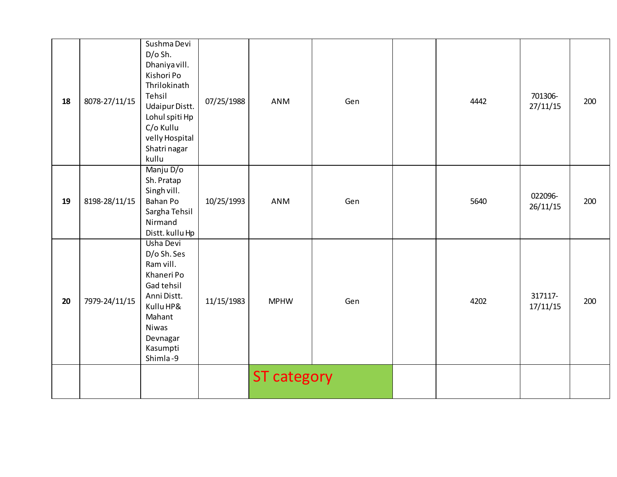| 18 | 8078-27/11/15 | Sushma Devi<br>$D/O$ Sh.<br>Dhaniya vill.<br>Kishori Po<br>Thrilokinath<br>Tehsil<br><b>Udaipur Distt.</b><br>Lohul spiti Hp<br>C/o Kullu<br>velly Hospital<br>Shatri nagar<br>kullu | 07/25/1988 | <b>ANM</b>         | Gen | 4442 | 701306-<br>27/11/15 | 200 |
|----|---------------|--------------------------------------------------------------------------------------------------------------------------------------------------------------------------------------|------------|--------------------|-----|------|---------------------|-----|
| 19 | 8198-28/11/15 | Manju D/o<br>Sh. Pratap<br>Singh vill.<br>Bahan Po<br>Sargha Tehsil<br>Nirmand<br>Distt. kullu Hp                                                                                    | 10/25/1993 | <b>ANM</b>         | Gen | 5640 | 022096-<br>26/11/15 | 200 |
| 20 | 7979-24/11/15 | Usha Devi<br>D/o Sh. Ses<br>Ram vill.<br>Khaneri Po<br>Gad tehsil<br>Anni Distt.<br>Kullu HP&<br>Mahant<br>Niwas<br>Devnagar<br>Kasumpti<br>Shimla-9                                 | 11/15/1983 | <b>MPHW</b>        | Gen | 4202 | 317117-<br>17/11/15 | 200 |
|    |               |                                                                                                                                                                                      |            | <b>ST category</b> |     |      |                     |     |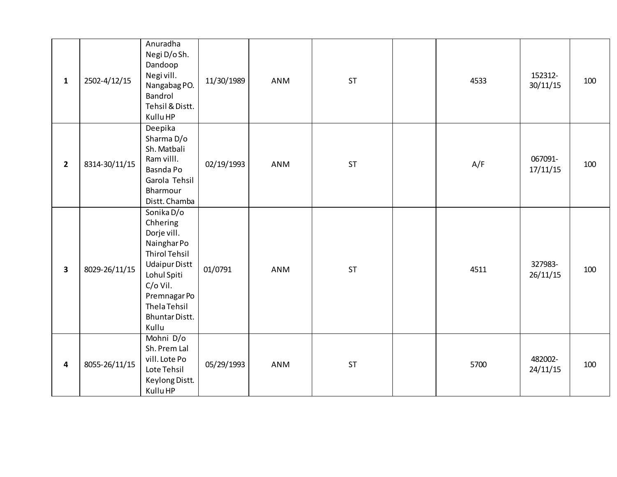| $\mathbf{1}$   | 2502-4/12/15  | Anuradha<br>Negi D/oSh.<br>Dandoop<br>Negi vill.<br>Nangabag PO.<br>Bandrol<br>Tehsil & Distt.<br>Kullu HP                                                                                        | 11/30/1989 | ANM        | <b>ST</b> | 4533 | 152312-<br>30/11/15 | 100 |
|----------------|---------------|---------------------------------------------------------------------------------------------------------------------------------------------------------------------------------------------------|------------|------------|-----------|------|---------------------|-----|
| $\overline{2}$ | 8314-30/11/15 | Deepika<br>Sharma D/o<br>Sh. Matbali<br>Ram villl.<br>Basnda Po<br>Garola Tehsil<br>Bharmour<br>Distt. Chamba                                                                                     | 02/19/1993 | <b>ANM</b> | <b>ST</b> | A/F  | 067091-<br>17/11/15 | 100 |
| $\mathbf{3}$   | 8029-26/11/15 | Sonika D/o<br>Chhering<br>Dorje vill.<br>Nainghar Po<br><b>Thirol Tehsil</b><br><b>Udaipur Distt</b><br>Lohul Spiti<br>C/o Vil.<br>Premnagar Po<br><b>Thela Tehsil</b><br>Bhuntar Distt.<br>Kullu | 01/0791    | <b>ANM</b> | <b>ST</b> | 4511 | 327983-<br>26/11/15 | 100 |
| 4              | 8055-26/11/15 | Mohni D/o<br>Sh. Prem Lal<br>vill. Lote Po<br>Lote Tehsil<br>Keylong Distt.<br>Kullu HP                                                                                                           | 05/29/1993 | <b>ANM</b> | <b>ST</b> | 5700 | 482002-<br>24/11/15 | 100 |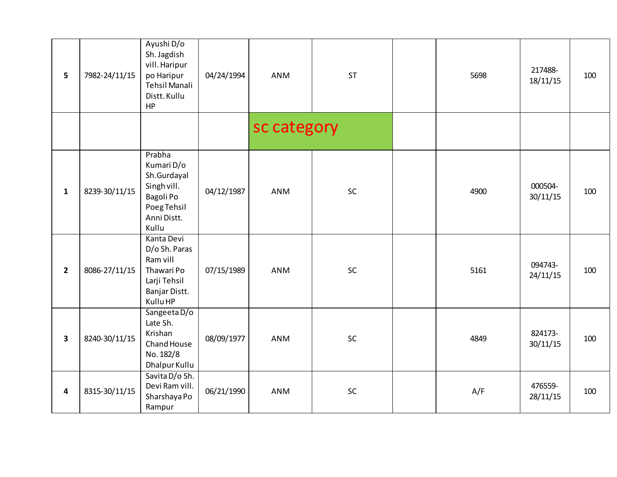| $5\phantom{1}$          | 7982-24/11/15 | Ayushi D/o<br>Sh. Jagdish<br>vill. Haripur<br>po Haripur<br>Tehsil Manali<br>Distt. Kullu<br>HP        | 04/24/1994 | ANM         | <b>ST</b> | 5698 | 217488-<br>18/11/15 | 100 |
|-------------------------|---------------|--------------------------------------------------------------------------------------------------------|------------|-------------|-----------|------|---------------------|-----|
|                         |               |                                                                                                        |            | sc category |           |      |                     |     |
| $\mathbf{1}$            | 8239-30/11/15 | Prabha<br>Kumari D/o<br>Sh.Gurdayal<br>Singh vill.<br>Bagoli Po<br>Poeg Tehsil<br>Anni Distt.<br>Kullu | 04/12/1987 | ANM         | SC        | 4900 | 000504-<br>30/11/15 | 100 |
| $\overline{2}$          | 8086-27/11/15 | Kanta Devi<br>D/o Sh. Paras<br>Ram vill<br>Thawari Po<br>Larji Tehsil<br>Banjar Distt.<br>Kullu HP     | 07/15/1989 | <b>ANM</b>  | SC        | 5161 | 094743-<br>24/11/15 | 100 |
| $\overline{\mathbf{3}}$ | 8240-30/11/15 | Sangeeta D/o<br>Late Sh.<br>Krishan<br>Chand House<br>No. 182/8<br>Dhalpur Kullu                       | 08/09/1977 | ANM         | SC        | 4849 | 824173-<br>30/11/15 | 100 |
| $\overline{\mathbf{4}}$ | 8315-30/11/15 | Savita D/o Sh.<br>Devi Ram vill.<br>Sharshaya Po<br>Rampur                                             | 06/21/1990 | <b>ANM</b>  | SC        | A/F  | 476559-<br>28/11/15 | 100 |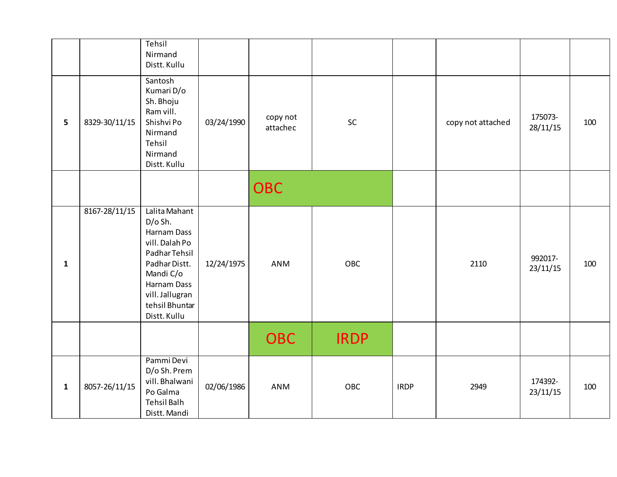|              |               | Tehsil<br>Nirmand<br>Distt. Kullu                                                                                                                                              |            |                      |             |             |                   |                     |     |
|--------------|---------------|--------------------------------------------------------------------------------------------------------------------------------------------------------------------------------|------------|----------------------|-------------|-------------|-------------------|---------------------|-----|
| 5            | 8329-30/11/15 | Santosh<br>Kumari D/o<br>Sh. Bhoju<br>Ram vill.<br>Shishvi Po<br>Nirmand<br>Tehsil<br>Nirmand<br>Distt. Kullu                                                                  | 03/24/1990 | copy not<br>attachec | SC          |             | copy not attached | 175073-<br>28/11/15 | 100 |
|              |               |                                                                                                                                                                                |            | <b>OBC</b>           |             |             |                   |                     |     |
| $\mathbf{1}$ | 8167-28/11/15 | Lalita Mahant<br>$D/O$ Sh.<br>Harnam Dass<br>vill. Dalah Po<br>Padhar Tehsil<br>Padhar Distt.<br>Mandi C/o<br>Harnam Dass<br>vill. Jallugran<br>tehsil Bhuntar<br>Distt. Kullu | 12/24/1975 | ANM                  | OBC         |             | 2110              | 992017-<br>23/11/15 | 100 |
|              |               |                                                                                                                                                                                |            | <b>OBC</b>           | <b>IRDP</b> |             |                   |                     |     |
| $\mathbf{1}$ | 8057-26/11/15 | Pammi Devi<br>D/o Sh. Prem<br>vill. Bhalwani<br>Po Galma<br><b>Tehsil Balh</b><br>Distt. Mandi                                                                                 | 02/06/1986 | ANM                  | OBC         | <b>IRDP</b> | 2949              | 174392-<br>23/11/15 | 100 |